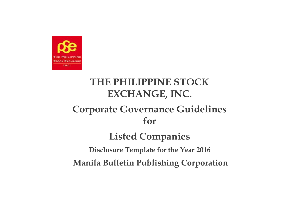

# **THE PHILIPPINE STOCK EXCHANGE, INC.**

# **Corporate Governance Guidelines for**

# **Listed Companies**

**Disclosure Template for the Year 2016** 

**Manila Bulletin Publishing Corporation**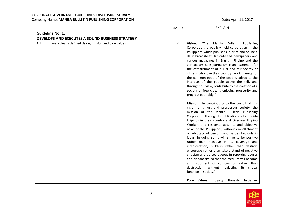|                                                                | <b>COMPLY</b> | <b>EXPLAIN</b>                                                                                                                                                                                                                                                                                                                                                                                                                                                                                                                                                                                                                                                                                                                                                                                                                                                                                                                                                                                                                                                                                                                                                                                                                                                                                                                                                                                                                                                                                                     |
|----------------------------------------------------------------|---------------|--------------------------------------------------------------------------------------------------------------------------------------------------------------------------------------------------------------------------------------------------------------------------------------------------------------------------------------------------------------------------------------------------------------------------------------------------------------------------------------------------------------------------------------------------------------------------------------------------------------------------------------------------------------------------------------------------------------------------------------------------------------------------------------------------------------------------------------------------------------------------------------------------------------------------------------------------------------------------------------------------------------------------------------------------------------------------------------------------------------------------------------------------------------------------------------------------------------------------------------------------------------------------------------------------------------------------------------------------------------------------------------------------------------------------------------------------------------------------------------------------------------------|
| <b>Guideline No. 1:</b>                                        |               |                                                                                                                                                                                                                                                                                                                                                                                                                                                                                                                                                                                                                                                                                                                                                                                                                                                                                                                                                                                                                                                                                                                                                                                                                                                                                                                                                                                                                                                                                                                    |
| DEVELOPS AND EXECUTES A SOUND BUSINESS STRATEGY                |               |                                                                                                                                                                                                                                                                                                                                                                                                                                                                                                                                                                                                                                                                                                                                                                                                                                                                                                                                                                                                                                                                                                                                                                                                                                                                                                                                                                                                                                                                                                                    |
| 1.1<br>Have a clearly defined vision, mission and core values. | $\checkmark$  | "The<br>Vision:<br>Manila<br><b>Bulletin</b><br>Publishing<br>Corporation, a publicly held corporation in the<br>Philippines which publishes in print and online a<br>daily broadsheet, tabloid-sized newspapers and<br>various magazines in English, Filipino and the<br>vernaculars, sees journalism as an instrument for<br>the establishment of a just and fair society of<br>citizens who love their country, work in unity for<br>the common good of the people, advocate the<br>interests of the people above the self, and<br>through this view, contribute to the creation of a<br>society of free citizens enjoying prosperity and<br>progress equitably."<br>Mission: "In contributing to the pursuit of this<br>vision of a just and prosperous society, the<br>mission of the Manila Bulletin Publishing<br>Corporation through its publications is to provide<br>Filipinos in their country and Overseas Filipino<br>Workers and residents accurate and objective<br>news of the Philippines, without embellishment<br>or advocacy of persons and parties but only in<br>ideas. In doing so, it will strive to be positive<br>rather than negative in its coverage and<br>interpretation, build-up rather than destroy,<br>encourage rather than take a stand of negative<br>criticism and be courageous in reporting abuses<br>and dishonesty, so that the medium will become<br>an instrument of construction rather than<br>destruction, without neglecting its critical<br>function in society." |
|                                                                |               | Core Values: "Loyalty, Honesty,<br>Initiative,                                                                                                                                                                                                                                                                                                                                                                                                                                                                                                                                                                                                                                                                                                                                                                                                                                                                                                                                                                                                                                                                                                                                                                                                                                                                                                                                                                                                                                                                     |

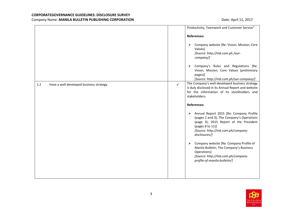|     |                                          |              | Productivity, Teamwork and Customer Service"                                                                                                                                                                   |
|-----|------------------------------------------|--------------|----------------------------------------------------------------------------------------------------------------------------------------------------------------------------------------------------------------|
|     |                                          |              | <b>References:</b>                                                                                                                                                                                             |
|     |                                          |              | Company website (Re: Vision; Mission; Core<br>➤<br>Values]<br>[Source: http://mb.com.ph/our-<br>company/]                                                                                                      |
|     |                                          |              | $\triangleright$ Company's Rules and Regulations [Re:<br>Vision; Mission; Core Values (preliminary<br>pages)]<br>[Source: http://mb.com.ph/our-company/]                                                       |
| 1.2 | Have a well-developed business strategy. | $\checkmark$ | The Company's well-developed business strategy<br>is duly disclosed in its Annual Report and website<br>for the information of its stockholders and<br>stakeholders.                                           |
|     |                                          |              | <b>References:</b>                                                                                                                                                                                             |
|     |                                          |              | Annual Report 2015 [Re: Company Profile<br>➤<br>(pages 2 and 3); The Company's Operations<br>(page 3); 2015 Report of the President<br>(pages 8 to 11)]<br>[Source: http://mb.com.ph/company-<br>disclosures/] |
|     |                                          |              | Company website [Re: Company Profile of<br>➤<br>Manila Bulletin; The Company's Business<br>Operations]<br>[Source: http://mb.com.ph/company-<br>profile-of-manila-bulletin/]                                   |
|     |                                          |              |                                                                                                                                                                                                                |

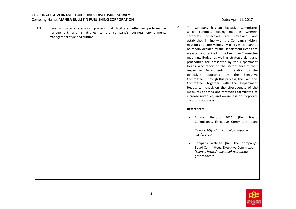| 1.3 | Have a strategy execution process that facilitates effective performance<br>management, and is attuned to the company's business environment,<br>management style and culture. | $\checkmark$ | The Company has an Executive Committee,<br>which conducts weekly meetings wherein<br>corporate objectives are reviewed and<br>established in line with the Company's vision,<br>mission and core values. Matters which cannot<br>be readily decided by the Department Heads are<br>elevated and tackled in the Executive Committee<br>meetings. Budget as well as strategic plans and<br>procedures are presented by the Department<br>Heads, who report on the performance of their<br>respective Departments in relation to the<br>objectives<br>approved<br>by<br>the<br>Executive<br>Committee. Through this process, the Executive<br>Committee, together with the Department<br>Heads, can check on the effectiveness of the<br>measures adopted and strategies formulated to<br>increase revenues, and awareness on corporate<br>civic consciousness. |
|-----|--------------------------------------------------------------------------------------------------------------------------------------------------------------------------------|--------------|--------------------------------------------------------------------------------------------------------------------------------------------------------------------------------------------------------------------------------------------------------------------------------------------------------------------------------------------------------------------------------------------------------------------------------------------------------------------------------------------------------------------------------------------------------------------------------------------------------------------------------------------------------------------------------------------------------------------------------------------------------------------------------------------------------------------------------------------------------------|
|     |                                                                                                                                                                                |              | <b>References:</b><br>Annual<br>2015<br>[Re:<br>Board<br>➤<br>Report<br>Committees, Executive Committee (page<br>$5)$ ]<br>[Source: http://mb.com.ph/company-<br>disclosures/]<br>Company website [Re: The Company's<br>➤<br>Board Committees, Executive Committee]<br>[Source: http://mb.com.ph/corporate-<br>governance/]                                                                                                                                                                                                                                                                                                                                                                                                                                                                                                                                  |

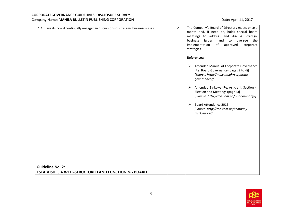| 1.4 Have its board continually engaged in discussions of strategic business issues.<br><b>Guideline No. 2:</b> | The Company's Board of Directors meets once a<br>$\checkmark$<br>month and, if need be, holds special board<br>meetings to address and discuss strategic<br>issues,<br>and<br>to<br>oversee<br>business<br>the<br>of<br>implementation<br>approved<br>corporate<br>strategies.<br><b>References:</b><br>Amended Manual of Corporate Governance<br>➤<br>[Re: Board Governance (pages 2 to 4)]<br>[Source: http://mb.com.ph/corporate-<br>governance/]<br>Amended By-Laws [Re: Article II, Section 4.<br>➤<br>Election and Meetings (page 3)]<br>[Source: http://mb.com.ph/our-company/]<br>Board Attendance 2016<br>➤<br>[Source: http://mb.com.ph/company-<br>disclosures/] |
|----------------------------------------------------------------------------------------------------------------|-----------------------------------------------------------------------------------------------------------------------------------------------------------------------------------------------------------------------------------------------------------------------------------------------------------------------------------------------------------------------------------------------------------------------------------------------------------------------------------------------------------------------------------------------------------------------------------------------------------------------------------------------------------------------------|
| ESTABLISHES A WELL-STRUCTURED AND FUNCTIONING BOARD                                                            |                                                                                                                                                                                                                                                                                                                                                                                                                                                                                                                                                                                                                                                                             |

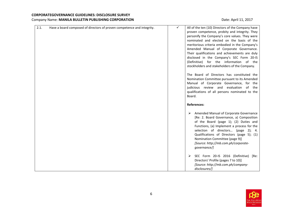| 2.1. | Have a board composed of directors of proven competence and integrity. | ✓ | All of the ten (10) Directors of the Company have<br>proven competence, probity and integrity. They<br>personify the Company's core values. They were<br>nominated and elected on the basis of the<br>meritorious criteria embodied in the Company's<br>Amended Manual of Corporate Governance.<br>Their qualifications and achievements are duly<br>disclosed in the Company's SEC Form 20-IS<br>(Definitive) for the information of the<br>stockholders and stakeholders of the Company.<br>The Board of Directors has constituted the<br>Nomination Committee pursuant to its Amended |
|------|------------------------------------------------------------------------|---|------------------------------------------------------------------------------------------------------------------------------------------------------------------------------------------------------------------------------------------------------------------------------------------------------------------------------------------------------------------------------------------------------------------------------------------------------------------------------------------------------------------------------------------------------------------------------------------|
|      |                                                                        |   | Manual of Corporate Governance, for the<br>judicious review and evaluation of the<br>qualifications of all persons nominated to the<br>Board.                                                                                                                                                                                                                                                                                                                                                                                                                                            |
|      |                                                                        |   | <b>References:</b>                                                                                                                                                                                                                                                                                                                                                                                                                                                                                                                                                                       |
|      |                                                                        |   | Amended Manual of Corporate Governance<br>➤<br>[Re: 2. Board Governance, a) Composition<br>of the Board (page 1); (2) Duties and<br>Functions, (a) Implement a process for the<br>selection of directors<br>(page 2); 4.<br>Qualifications of Directors (page 5); (1)<br>Nomination Committee (page 9)]<br>[Source: http://mb.com.ph/corporate-<br>governance/]                                                                                                                                                                                                                          |
|      |                                                                        |   | SEC Form 20-IS 2016 (Definitive)<br>[Re:<br>➤<br>Directors' Profile (pages 7 to 10)]<br>[Source: http://mb.com.ph/company-<br>disclosures/]                                                                                                                                                                                                                                                                                                                                                                                                                                              |

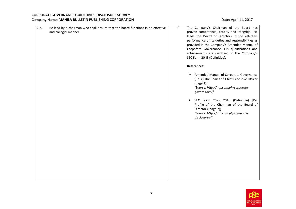| 2.2.<br>Be lead by a chairman who shall ensure that the board functions in an effective<br>and collegial manner. | $\checkmark$ | The Company's Chairman of the Board has<br>proven competence, probity and integrity. He<br>leads the Board of Directors in the effective<br>performance of its duties and responsibilities as<br>provided in the Company's Amended Manual of<br>Corporate Governance. His qualifications and<br>achievements are disclosed in the Company's<br>SEC Form 20-IS (Definitive). |
|------------------------------------------------------------------------------------------------------------------|--------------|-----------------------------------------------------------------------------------------------------------------------------------------------------------------------------------------------------------------------------------------------------------------------------------------------------------------------------------------------------------------------------|
|                                                                                                                  |              | <b>References:</b><br>> Amended Manual of Corporate Governance<br>[Re: c) The Chair and Chief Executive Officer<br>(page 2)]<br>[Source: http://mb.com.ph/corporate-<br>governance/]<br>SEC Form 20-IS 2016 (Definitive) [Re:<br>➤<br>Profile of the Chairman of the Board of<br>Directors (page 7)]<br>[Source: http://mb.com.ph/company-<br>disclosures/]                 |

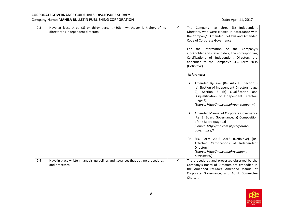| 2.3 | Have at least three (3) or thirty percent (30%), whichever is higher, of its<br>directors as independent directors. | ✓ | The Company has three (3) Independent<br>Directors, who were elected in accordance with<br>the Company's Amended By-Laws and Amended<br>Code of Corporate Governance.<br>For the information of the Company's<br>stockholder and stakeholders, the corresponding<br>Certifications of Independent Directors are<br>appended to the Company's SEC Form 20-IS<br>(Definitive). |
|-----|---------------------------------------------------------------------------------------------------------------------|---|------------------------------------------------------------------------------------------------------------------------------------------------------------------------------------------------------------------------------------------------------------------------------------------------------------------------------------------------------------------------------|
|     |                                                                                                                     |   | <b>References:</b>                                                                                                                                                                                                                                                                                                                                                           |
|     |                                                                                                                     |   | Amended By-Laws [Re: Article I, Section 5<br>➤<br>(a) Election of Independent Directors (page<br>2); Section 5 (b) Qualification and<br>Disqualification of Independent Directors<br>(page 3)]<br>[Source: http://mb.com.ph/our-company/]                                                                                                                                    |
|     |                                                                                                                     |   | Amended Manual of Corporate Governance<br>[Re: 2. Board Governance, a) Composition<br>of the Board (page 1)]<br>[Source: http://mb.com.ph/corporate-<br>governance/]                                                                                                                                                                                                         |
|     |                                                                                                                     |   | SEC Form 20-IS 2016 (Definitive) [Re:<br>Attached Certifications of Independent<br>Directors]<br>[Source: http://mb.com.ph/company-<br>disclosures/]                                                                                                                                                                                                                         |
| 2.4 | Have in place written manuals, guidelines and issuances that outline procedures<br>and processes.                   | ✓ | The procedures and processes observed by the<br>Company's Board of Directors are embodied in<br>the Amended By-Laws, Amended Manual of<br>Corporate Governance, and Audit Committee<br>Charter.                                                                                                                                                                              |

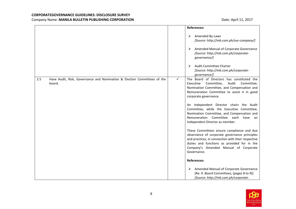|               |                                                                          |   | References:                                                                                                                                                                                                                                              |
|---------------|--------------------------------------------------------------------------|---|----------------------------------------------------------------------------------------------------------------------------------------------------------------------------------------------------------------------------------------------------------|
|               |                                                                          |   | Amended By-Laws<br>➤<br>[Source: http://mb.com.ph/our-company/]<br>Amended Manual of Corporate Governance<br>➤<br>[Source: http://mb.com.ph/corporate-<br>governance/]                                                                                   |
|               |                                                                          |   | Audit Committee Charter<br>➤<br>[Source: http://mb.com.ph/corporate-<br>governance/]                                                                                                                                                                     |
| 2.5<br>board. | Have Audit, Risk, Governance and Nomination & Election Committees of the | ✓ | The Board of Directors has constituted the<br>Executive<br>Committee,<br>Audit<br>Committee,<br>Nomination Committee, and Compensation and<br>Remuneration Committee to assist it in good<br>corporate governance.                                       |
|               |                                                                          |   | An Independent Director chairs the Audit<br>Committee, while the Executive Committee,<br>Nomination Committee, and Compensation and<br>Remuneration Committee each have an<br>Independent Director as member.                                            |
|               |                                                                          |   | These Committees ensure compliance and due<br>observance of corporate governance principles<br>and practices, in connection with their respective<br>duties and functions as provided for in the<br>Company's Amended Manual of Corporate<br>Governance. |
|               |                                                                          |   | <b>References:</b>                                                                                                                                                                                                                                       |
|               |                                                                          |   | Amended Manual of Corporate Governance<br>➤<br>[Re: 9. Board Committees, (pages 8 to 9)]<br>[Source: http://mb.com.ph/corporate-                                                                                                                         |

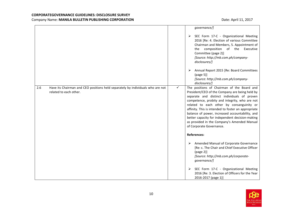|     |                                                                                                          |              | governance/]                                                                                                                                                                                                                                                                                                                                                                                                                                                                       |
|-----|----------------------------------------------------------------------------------------------------------|--------------|------------------------------------------------------------------------------------------------------------------------------------------------------------------------------------------------------------------------------------------------------------------------------------------------------------------------------------------------------------------------------------------------------------------------------------------------------------------------------------|
|     |                                                                                                          |              | SEC Form 17-C - Organizational Meeting<br>➤<br>2016 [Re: 4. Election of various Committee<br>Chairman and Members, 5. Appointment of<br>composition of the Executive<br>the<br>Committee (page 2)]<br>[Source: http://mb.com.ph/company-<br>disclosures/]                                                                                                                                                                                                                          |
|     |                                                                                                          |              | Annual Report 2015 [Re: Board Committees<br>➤<br>(page 5)<br>[Source: http://mb.com.ph/company-<br>disclosures/]                                                                                                                                                                                                                                                                                                                                                                   |
| 2.6 | Have its Chairman and CEO positions held separately by individuals who are not<br>related to each other. | $\checkmark$ | The positions of Chairman of the Board and<br>President/CEO of the Company are being held by<br>separate and distinct individuals of proven<br>competence, probity and integrity, who are not<br>related to each other by consanguinity or<br>affinity. This is intended to foster an appropriate<br>balance of power, increased accountability, and<br>better capacity for independent decision-making<br>as provided in the Company's Amended Manual<br>of Corporate Governance. |
|     |                                                                                                          |              | <b>References:</b>                                                                                                                                                                                                                                                                                                                                                                                                                                                                 |
|     |                                                                                                          |              | Amended Manual of Corporate Governance<br>➤<br>[Re: c. The Chair and Chief Executive Officer<br>(page 2)]<br>[Source: http://mb.com.ph/corporate-<br>governance/]                                                                                                                                                                                                                                                                                                                  |
|     |                                                                                                          |              | SEC Form 17-C - Organizational Meeting<br>➤<br>2016 [Re: 3. Election of Officers for the Year<br>2016-2017 (page 1)]                                                                                                                                                                                                                                                                                                                                                               |

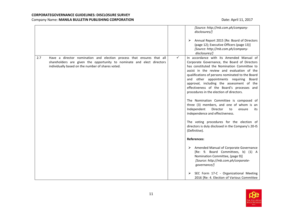|     |                                                                                                                                                                                                      |              | [Source: http://mb.com.ph/company-<br>disclosures/]<br>Annual Report 2015 [Re: Board of Directors<br>➤<br>(page 12); Executive Officers (page 13)]<br>[Source: http://mb.com.ph/company-<br>disclosures/]                                                                                                                                                                                                                                                                                                                                                                                                                                                                                                                                                                                                                                                                                                                                                                  |
|-----|------------------------------------------------------------------------------------------------------------------------------------------------------------------------------------------------------|--------------|----------------------------------------------------------------------------------------------------------------------------------------------------------------------------------------------------------------------------------------------------------------------------------------------------------------------------------------------------------------------------------------------------------------------------------------------------------------------------------------------------------------------------------------------------------------------------------------------------------------------------------------------------------------------------------------------------------------------------------------------------------------------------------------------------------------------------------------------------------------------------------------------------------------------------------------------------------------------------|
| 2.7 | Have a director nomination and election process that ensures that all<br>shareholders are given the opportunity to nominate and elect directors<br>individually based on the number of shares voted. | $\checkmark$ | In accordance with its Amended Manual of<br>Corporate Governance, the Board of Directors<br>has constituted the Nomination Committee to<br>assist in the review and evaluation of the<br>qualifications of persons nominated to the Board<br>and other appointments requiring Board<br>approval, including the assessment of the<br>effectiveness of the Board's processes and<br>procedures in the election of directors.<br>The Nomination Committee is composed of<br>three (3) members, and one of whom is an<br>Independent<br>Director<br>to<br>ensure<br>its<br>independence and effectiveness.<br>The voting procedures for the election of<br>directors is duly disclosed in the Company's 20-IS<br>(Definitive).<br><b>References:</b><br>Amended Manual of Corporate Governance<br>➤<br>[Re: 9. Board Committees, b) (1) A<br>Nomination Committee, (page 9)]<br>[Source: http://mb.com.ph/corporate-<br>governance/]<br>SEC Form 17-C - Organizational Meeting |
|     |                                                                                                                                                                                                      |              | 2016 [Re: 4. Election of Various Committee                                                                                                                                                                                                                                                                                                                                                                                                                                                                                                                                                                                                                                                                                                                                                                                                                                                                                                                                 |

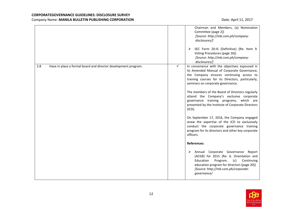|                                                                       | Chairman and Members, (a) Nomination<br>Committee (page 2)]<br>[Source: http://mb.com.ph/company-<br>disclosures/]<br>SEC Form 20-IS (Definitive) [Re: Item 9.<br>➤<br>Voting Procedures (page 16)]<br>[Source: http://mb.com.ph/company-<br>disclosures/]                                                                                                                                                                                                                                                                                                                                                                                                                                                                                                                                                                                                                                              |                      |
|-----------------------------------------------------------------------|---------------------------------------------------------------------------------------------------------------------------------------------------------------------------------------------------------------------------------------------------------------------------------------------------------------------------------------------------------------------------------------------------------------------------------------------------------------------------------------------------------------------------------------------------------------------------------------------------------------------------------------------------------------------------------------------------------------------------------------------------------------------------------------------------------------------------------------------------------------------------------------------------------|----------------------|
| Have in place a formal board and director development program.<br>2.8 | In consonance with the objectives espoused in<br>✓<br>its Amended Manual of Corporate Governance,<br>the Company ensures continuing access to<br>training courses for its Directors, particularly,<br>seminars on corporate governance.<br>The members of the Board of Directors regularly<br>attend the Company's exclusive corporate<br>governance training programs, which are<br>presented by the Institute of Corporate Directors<br>(ICD).<br>On September 17, 2016, the Company engaged<br>anew the expertise of the ICD to exclusively<br>conduct the corporate governance training<br>program for its directors and other key corporate<br>officers.<br><b>References:</b><br>Annual Corporate Governance<br>➤<br>(ACGR) for 2015 [Re: 6. Orientation and<br>Education<br>Program,<br>(c)<br>education program for directors (page 20)]<br>[Source: http://mb.com.ph/corporate-<br>governance/ | Report<br>Continuing |

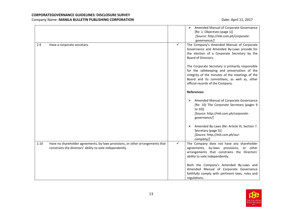|      |                                                                                                                                            |              | Amended Manual of Corporate Governance<br>➤<br>[Re: 1. Objectives (page 1)]<br>[Source: http://mb.com.ph/corporate-<br>governance/]                                                                                                   |
|------|--------------------------------------------------------------------------------------------------------------------------------------------|--------------|---------------------------------------------------------------------------------------------------------------------------------------------------------------------------------------------------------------------------------------|
| 2.9  | Have a corporate secretary.                                                                                                                | $\checkmark$ | The Company's Amended Manual of Corporate<br>Governance and Amended By-Laws provide for<br>the election of a Corporate Secretary by the<br>Board of Directors.                                                                        |
|      |                                                                                                                                            |              | The Corporate Secretary is primarily responsible<br>for the safekeeping and preservation of the<br>integrity of the minutes of the meetings of the<br>Board and its committees, as well as, other<br>official records of the Company. |
|      |                                                                                                                                            |              | <b>References:</b>                                                                                                                                                                                                                    |
|      |                                                                                                                                            |              | Amended Manual of Corporate Governance<br>➤<br>[Re: 10) The Corporate Secretary (pages 9<br>to 10)]<br>[Source: http://mb.com.ph/corporate-<br>governance/]                                                                           |
|      |                                                                                                                                            |              | Amended By-Laws [Re: Article III, Section 7.<br>➤<br>Secretary (page 5)]<br>[Source: http://mb.com.ph/our-<br>company/]                                                                                                               |
| 2.10 | Have no shareholder agreements, by-laws provisions, or other arrangements that<br>constrains the directors' ability to vote independently. | ✓            | The Company does not have any shareholder<br>agreements, by-laws provisions, or other<br>arrangements that constrains the Directors'<br>ability to vote independently.                                                                |
|      |                                                                                                                                            |              | Both the Company's Amended By-Laws and<br>Amended Manual of Corporate Governance<br>faithfully comply with pertinent laws, rules and<br>regulations.                                                                                  |

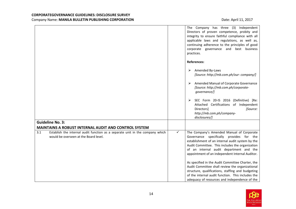|                                                                                                                                                                                              |              | The Company has three (3) Independent<br>Directors of proven competence, probity and<br>integrity to ensure faithful compliance with all<br>applicable laws and regulations, as well as,<br>continuing adherence to the principles of good<br>corporate governance and best business<br>practices. |
|----------------------------------------------------------------------------------------------------------------------------------------------------------------------------------------------|--------------|----------------------------------------------------------------------------------------------------------------------------------------------------------------------------------------------------------------------------------------------------------------------------------------------------|
|                                                                                                                                                                                              |              | <b>References:</b>                                                                                                                                                                                                                                                                                 |
|                                                                                                                                                                                              |              | Amended By-Laws<br>➤<br>[Source: http://mb.com.ph/our-company/]                                                                                                                                                                                                                                    |
|                                                                                                                                                                                              |              | Amended Manual of Corporate Governance<br>➤<br>[Source: http://mb.com.ph/corporate-<br>governance/]                                                                                                                                                                                                |
|                                                                                                                                                                                              |              | SEC Form 20-IS 2016 (Definitive) [Re:<br>➤<br>Attached Certifications of Independent<br>[Source:<br>Directors]<br>http://mb.com.ph/company-<br>disclosures/]                                                                                                                                       |
| <b>Guideline No. 3:</b>                                                                                                                                                                      |              |                                                                                                                                                                                                                                                                                                    |
| <b>MAINTAINS A ROBUST INTERNAL AUDIT AND CONTROL SYSTEM</b><br>3.1<br>Establish the internal audit function as a separate unit in the company which<br>would be overseen at the Board level. | $\checkmark$ | The Company's Amended Manual of Corporate<br>Governance specifically provides for the<br>establishment of an internal audit system by the<br>Audit Committee. This includes the organization<br>of an internal audit department and the<br>appointment of an independent Internal Auditor.         |
|                                                                                                                                                                                              |              | As specified in the Audit Committee Charter, the<br>Audit Committee shall review the organizational<br>structure, qualifications, staffing and budgeting<br>of the internal audit function. This includes the<br>adequacy of resources and independence of the                                     |

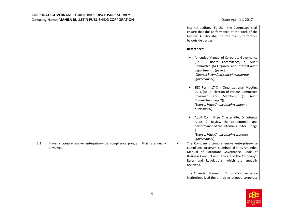|                                                                                              | internal auditor. Further, the Committee shall<br>ensure that the performance of the work of the<br>Internal Auditor shall be free from interference<br>by outside parties.<br><b>References:</b>                                                        |
|----------------------------------------------------------------------------------------------|----------------------------------------------------------------------------------------------------------------------------------------------------------------------------------------------------------------------------------------------------------|
|                                                                                              | Amended Manual of Corporate Governance<br>➤<br>[Re: 9) Board Committees, a) Audit<br>Committee (6) Organize and internal audit<br>department (page 8)]<br>[Source: http://mb.com.ph/corporate-<br>governance/]                                           |
|                                                                                              | SEC Form 17-C - Organizational Meeting<br>➤<br>2016 [Re: 4. Election of various Committee<br>Chairman and<br>Members,<br>(c)<br>Audit<br>Committee (page 2)]<br>[Source: http://mb.com.ph/company-<br>disclosures/]                                      |
|                                                                                              | Audit Committee Charter (Re: D. Internal<br>➤<br>Audit, 2. Review the appointment and<br>performance of the Internal Auditor (page<br>$3)$ ]<br>[Source: http://mb.com.ph/corporate-<br>governance/]                                                     |
| 3.2<br>Have a comprehensive enterprise-wide compliance program that is annually<br>reviewed. | ✓<br>The Company's comprehensive enterprise-wise<br>compliance program is embodied in its Amended<br>Manual of Corporate Governance, Code of<br>Business Conduct and Ethics, and the Company's<br>Rules and Regulations, which are annually<br>reviewed. |
|                                                                                              | The Amended Manual of Corporate Governance<br>institutionalized the principles of good corporate                                                                                                                                                         |

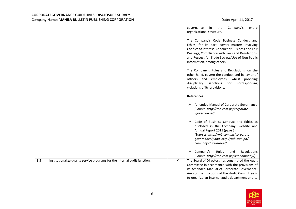|                                                                                   | in<br>the<br>Company's<br>governance<br>entire<br>organizational structure.                                                                                                                                                                                                         |
|-----------------------------------------------------------------------------------|-------------------------------------------------------------------------------------------------------------------------------------------------------------------------------------------------------------------------------------------------------------------------------------|
|                                                                                   | The Company's Code Business Conduct and<br>Ethics, for its part, covers matters involving<br>Conflict of interest, Conduct of Business and Fair<br>Dealings, Compliance with Laws and Regulations,<br>and Respect for Trade Secrets/Use of Non-Public<br>Information, among others. |
|                                                                                   | The Company's Rules and Regulations, on the<br>other hand, govern the conduct and behavior of<br>officers and employees, whilst<br>providing<br>disciplinary<br>sanctions<br>for<br>corresponding<br>violations of its provisions.                                                  |
|                                                                                   | <b>References:</b>                                                                                                                                                                                                                                                                  |
|                                                                                   | Amended Manual of Corporate Governance<br>➤<br>[Source: http://mb.com.ph/corporate-<br>governance/]                                                                                                                                                                                 |
|                                                                                   | Code of Business Conduct and Ethics as<br>➤<br>disclosed in the Company' website and<br>Annual Report 2015 (page 5)<br>[Sources: http://mb.com.ph/corporate-<br>governance/; and http://mb.com.ph/<br>company-disclosures/]                                                         |
|                                                                                   | Company's<br>Rules<br>Regulations<br>⋗<br>and<br>[Source: http://mb.com.ph/our-company/]                                                                                                                                                                                            |
| 3.3<br>Institutionalize quality service programs for the internal audit function. | ✓<br>The Board of Directors has constituted the Audit<br>Committee in accordance with the provisions of<br>its Amended Manual of Corporate Governance.<br>Among the functions of the Audit Committee is<br>to organize an internal audit department and to                          |

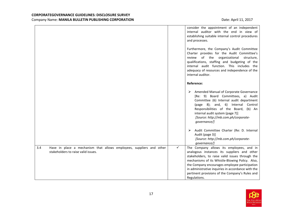|                                                                                                                    | consider the appointment of an independent<br>internal auditor with the end in view of<br>establishing suitable internal control procedures<br>and processes.<br>Furthermore, the Company's Audit Committee<br>Charter provides for the Audit Committee's<br>of the organizational<br>review<br>structure,<br>qualifications, staffing and budgeting of the<br>internal audit function. This includes the<br>adequacy of resources and independence of the<br>internal auditor. |
|--------------------------------------------------------------------------------------------------------------------|---------------------------------------------------------------------------------------------------------------------------------------------------------------------------------------------------------------------------------------------------------------------------------------------------------------------------------------------------------------------------------------------------------------------------------------------------------------------------------|
|                                                                                                                    | <b>Reference:</b>                                                                                                                                                                                                                                                                                                                                                                                                                                                               |
|                                                                                                                    | Amended Manual of Corporate Governance<br>➤<br>[Re: 9) Board Committees, a) Audit<br>Committee (6) Internal audit department<br>(page 8); and, 6) Internal Control<br>Responsibilities of the Board, (b) An<br>internal audit system (page 7)]<br>[Source: http://mb.com.ph/corporate-<br>governance/]                                                                                                                                                                          |
|                                                                                                                    | Audit Committee Charter (Re: D. Internal<br>➤<br>Audit (page 3)]<br>[Source: http://mb.com.ph/corporate-<br>governance/]                                                                                                                                                                                                                                                                                                                                                        |
| 3.4<br>Have in place a mechanism that allows employees, suppliers and other<br>stakeholders to raise valid issues. | $\checkmark$<br>The Company allows its employees, and in<br>analogous instances its suppliers and other<br>stakeholders, to raise valid issues through the<br>mechanisms of its Whistle-Blowing Policy. Also,<br>the Company encourages employee participation<br>in administrative inquiries in accordance with the<br>pertinent provisions of the Company's Rules and<br>Regulations.                                                                                         |

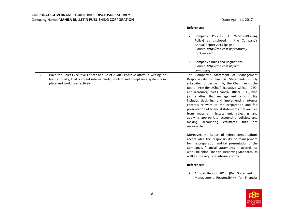|     |                                                                                                                                                                                                        |   | <b>References:</b>                                                                                                                                                                                                                                                                                                                                                                                                                                                                                                                                                                                                                                                                                                                                                                                                                                                                                                                                                                              |
|-----|--------------------------------------------------------------------------------------------------------------------------------------------------------------------------------------------------------|---|-------------------------------------------------------------------------------------------------------------------------------------------------------------------------------------------------------------------------------------------------------------------------------------------------------------------------------------------------------------------------------------------------------------------------------------------------------------------------------------------------------------------------------------------------------------------------------------------------------------------------------------------------------------------------------------------------------------------------------------------------------------------------------------------------------------------------------------------------------------------------------------------------------------------------------------------------------------------------------------------------|
|     |                                                                                                                                                                                                        |   | Policies (1. Whistle-Blowing<br>Company<br>Policy) as disclosed in the Company's<br>Annual Report 2015 (page 4).<br>[Source: http://mb.com.ph/company-<br>disclosures/]<br>Company's Rules and Regulations<br>[Source: http://mb.com.ph/our-<br>company/]                                                                                                                                                                                                                                                                                                                                                                                                                                                                                                                                                                                                                                                                                                                                       |
| 3.5 | Have the Chief Executive Officer and Chief Audit Executive attest in writing, at<br>least annually, that a sound internal audit, control and compliance system is in<br>place and working effectively. | ✓ | The Company's Statement of Management<br>Responsibility for Financial Statements is duly<br>subscribed under oath by the Chairman of the<br>Board, President/Chief Executive Officer (CEO)<br>and Treasurer/Chief Financial Officer (CFO), who<br>jointly attest that management responsibility<br>includes designing and implementing internal<br>controls relevant to the preparation and fair<br>presentation of financial statements that are free<br>from material misstatement, selecting and<br>applying appropriate accounting policies, and<br>making<br>accounting<br>estimates<br>that<br>are<br>reasonable.<br>Moreover, the Report of Independent Auditors<br>accentuates the responsibility of management<br>for the preparation and fair presentation of the<br>Company's financial statements in accordance<br>with Philippine Financial Reporting Standards, as<br>well as, the requisite internal control.<br><b>References:</b><br>Annual Report 2015 [Re: Statement of<br>⋗ |
|     |                                                                                                                                                                                                        |   | Management Responsibility for Financial                                                                                                                                                                                                                                                                                                                                                                                                                                                                                                                                                                                                                                                                                                                                                                                                                                                                                                                                                         |

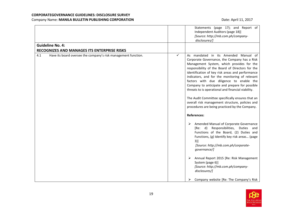| <b>Guideline No. 4:</b>                                               | Statements (page 17); and Report of<br>Independent Auditors (page 18)]<br>[Source: http://mb.com.ph/company-<br>disclosures/]                                                                                                                                                                                                                                                                                                                                                                                                                                                                                 |
|-----------------------------------------------------------------------|---------------------------------------------------------------------------------------------------------------------------------------------------------------------------------------------------------------------------------------------------------------------------------------------------------------------------------------------------------------------------------------------------------------------------------------------------------------------------------------------------------------------------------------------------------------------------------------------------------------|
| <b>RECOGNIZES AND MANAGES ITS ENTERPRISE RISKS</b>                    |                                                                                                                                                                                                                                                                                                                                                                                                                                                                                                                                                                                                               |
| Have its board oversee the company's risk management function.<br>4.1 | ✓<br>As mandated in its Amended Manual of<br>Corporate Governance, the Company has a Risk<br>Management System, which provides for the<br>responsibility of the Board of Directors for the<br>identification of key risk areas and performance<br>indicators, and for the monitoring of relevant<br>factors with due diligence to enable the<br>Company to anticipate and prepare for possible<br>threats to is operational and financial viability.<br>The Audit Committee specifically ensures that an<br>overall risk management structure, policies and<br>procedures are being practiced by the Company. |
|                                                                       | <b>References:</b>                                                                                                                                                                                                                                                                                                                                                                                                                                                                                                                                                                                            |
|                                                                       | Amended Manual of Corporate Governance<br>⋗<br>[Re: d) Responsibilities, Duties and<br>Functions of the Board, (2) Duties and<br>Functions, (g) Identify key risk areas (page<br>3)]<br>[Source: http://mb.com.ph/corporate-<br>governance/]                                                                                                                                                                                                                                                                                                                                                                  |
|                                                                       | Annual Report 2015 [Re: Risk Management<br>➤<br>System (page 6)]<br>[Source: http://mb.com.ph/company-<br>disclosures/]                                                                                                                                                                                                                                                                                                                                                                                                                                                                                       |
|                                                                       | Company website [Re: The Company's Risk<br>➤                                                                                                                                                                                                                                                                                                                                                                                                                                                                                                                                                                  |

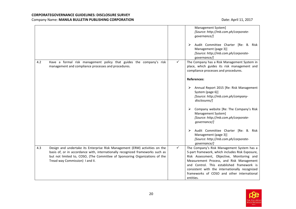|     |                                                                                                                                                                                                                                                                                 |              | Management System]<br>[Source: http://mb.com.ph/corporate-<br>governance/]<br>Audit Committee Charter [Re: B. Risk<br>➤<br>Management (page 3)]<br>[Source: http://mb.com.ph/corporate-<br>governance/]                                                                                                                                            |
|-----|---------------------------------------------------------------------------------------------------------------------------------------------------------------------------------------------------------------------------------------------------------------------------------|--------------|----------------------------------------------------------------------------------------------------------------------------------------------------------------------------------------------------------------------------------------------------------------------------------------------------------------------------------------------------|
| 4.2 | Have a formal risk management policy that guides the company's risk<br>management and compliance processes and procedures.                                                                                                                                                      | ✓            | The Company has a Risk Management System in<br>place, which guides its risk management and<br>compliance processes and procedures.<br><b>References:</b>                                                                                                                                                                                           |
|     |                                                                                                                                                                                                                                                                                 |              | Annual Report 2015 [Re: Risk Management<br>➤<br>System (page 6)]<br>[Source: http://mb.com.ph/company-<br>disclosures/]                                                                                                                                                                                                                            |
|     |                                                                                                                                                                                                                                                                                 |              | Company website [Re: The Company's Risk<br>➤<br>Management System]<br>[Source: http://mb.com.ph/corporate-<br>governance/]                                                                                                                                                                                                                         |
|     |                                                                                                                                                                                                                                                                                 |              | Audit Committee Charter [Re: B. Risk<br>≻<br>Management (page 3)]<br>[Source: http://mb.com.ph/corporate-<br>governance/]                                                                                                                                                                                                                          |
| 4.3 | Design and undertake its Enterprise Risk Management (ERM) activities on the<br>basis of, or in accordance with, internationally recognized frameworks such as<br>but not limited to, COSO, (The Committee of Sponsoring Organizations of the<br>Tread way Commission) I and II. | $\checkmark$ | The Company's Risk Management System has a<br>5-part framework, which includes Risk Exposure,<br>Risk Assessment, Objective, Monitoring and<br>Measurement Process, and Risk Management<br>and Control. This established framework is<br>consistent with the internationally recognized<br>frameworks of COSO and other international<br>entities. |

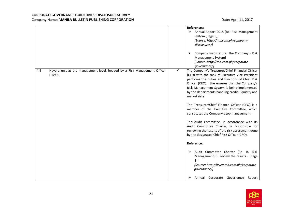|     |                                                                                    |   | <b>References:</b><br>$\blacktriangleright$<br>Annual Report 2015 [Re: Risk Management<br>System (page 6)]<br>[Source: http://mb.com.ph/company-<br>disclosures/]<br>Company website [Re: The Company's Risk<br>➤                                                                                                                                                                                                                                                                                                                                                                                                                                                                                                                                                                                                                                    |
|-----|------------------------------------------------------------------------------------|---|------------------------------------------------------------------------------------------------------------------------------------------------------------------------------------------------------------------------------------------------------------------------------------------------------------------------------------------------------------------------------------------------------------------------------------------------------------------------------------------------------------------------------------------------------------------------------------------------------------------------------------------------------------------------------------------------------------------------------------------------------------------------------------------------------------------------------------------------------|
|     |                                                                                    |   | Management System]<br>[Source: http://mb.com.ph/corporate-<br>governance/]                                                                                                                                                                                                                                                                                                                                                                                                                                                                                                                                                                                                                                                                                                                                                                           |
| 4.4 | Have a unit at the management level, headed by a Risk Management Officer<br>(RMO). | ✓ | The Company's Treasurer/Chief Financial Officer<br>(CFO) with the rank of Executive Vice President<br>performs the duties and functions of Chief Risk<br>Officer (CRO). She ensures that the Company's<br>Risk Management System is being implemented<br>by the departments handling credit, liquidity and<br>market risks.<br>The Treasurer/Chief Finance Officer (CFO) is a<br>member of the Executive Committee, which<br>constitutes the Company's top management.<br>The Audit Committee, in accordance with its<br>Audit Committee Charter, is responsible for<br>reviewing the results of the risk assessment done<br>by the designated Chief Risk Officer (CRO).<br>Reference:<br>Audit Committee Charter [Re: B. Risk<br>➤<br>Management, 3. Review the results (page<br>$3)$ ]<br>[Source: http://www.mb.com.ph/corporate-<br>governance/] |
|     |                                                                                    |   | Annual Corporate Governance<br>Report<br>➤                                                                                                                                                                                                                                                                                                                                                                                                                                                                                                                                                                                                                                                                                                                                                                                                           |

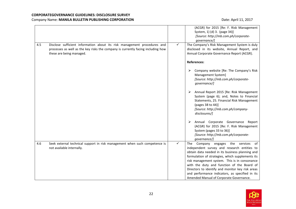|     |                                                                                                                                                                                          |              | (ACGR) for 2015 [Re: F. Risk Management<br>System, 1) (d) 3. (page 34)]<br>[Source: http://mb.com.ph/corporate-<br>governance/]                                                                                                                                                             |
|-----|------------------------------------------------------------------------------------------------------------------------------------------------------------------------------------------|--------------|---------------------------------------------------------------------------------------------------------------------------------------------------------------------------------------------------------------------------------------------------------------------------------------------|
| 4.5 | Disclose sufficient information about its risk management procedures and<br>processes as well as the key risks the company is currently facing including how<br>these are being managed. | $\checkmark$ | The Company's Risk Management System is duly<br>disclosed in its website, Annual Report, and<br>Annual Corporate Governance Report (ACGR).                                                                                                                                                  |
|     |                                                                                                                                                                                          |              | <b>References:</b>                                                                                                                                                                                                                                                                          |
|     |                                                                                                                                                                                          |              | Company website [Re: The Company's Risk<br>➤<br>Management System]<br>[Source: http://mb.com.ph/corporate-<br>qovernance/]                                                                                                                                                                  |
|     |                                                                                                                                                                                          |              | Annual Report 2015 [Re: Risk Management<br>➤<br>System (page 6); and, Notes to Financial<br>Statements, 25. Financial Risk Management<br>(pages 38 to 44)]<br>[Source: http://mb.com.ph/company-<br>disclosures/]                                                                           |
|     |                                                                                                                                                                                          |              | ➤<br>Annual Corporate Governance Report<br>(ACGR) for 2015 [Re: F. Risk Management<br>System (pages 33 to 36)]<br>[Source: http://mb.com.ph/corporate-<br>governance/]                                                                                                                      |
| 4.6 | Seek external technical support in risk management when such competence is<br>not available internally.                                                                                  | ✓            | The Company engages the services<br>of<br>independent survey and research entities to<br>obtain data needed in its business planning and<br>formulation of strategies, which supplements its<br>risk management system. This is in consonance<br>with the duty and function of the Board of |
|     |                                                                                                                                                                                          |              | Directors to identify and monitor key risk areas<br>and performance indicators, as specified in its<br>Amended Manual of Corporate Governance.                                                                                                                                              |

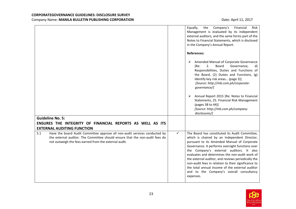|                                                                                                                                                                                                                            |   | Financial<br>Equally,<br>Company's<br><b>Risk</b><br>the<br>Management is evaluated by its independent<br>external auditors, and the same forms part of the<br>Notes to Financial Statements, which is disclosed<br>in the Company's Annual Report.                                                                                                                                                                                                                                                                      |
|----------------------------------------------------------------------------------------------------------------------------------------------------------------------------------------------------------------------------|---|--------------------------------------------------------------------------------------------------------------------------------------------------------------------------------------------------------------------------------------------------------------------------------------------------------------------------------------------------------------------------------------------------------------------------------------------------------------------------------------------------------------------------|
|                                                                                                                                                                                                                            |   | <b>References:</b>                                                                                                                                                                                                                                                                                                                                                                                                                                                                                                       |
|                                                                                                                                                                                                                            |   | Amended Manual of Corporate Governance<br>➤<br>2.<br>Board<br>Governance,<br>[Re:<br>d)<br>Responsibilities, Duties and Functions of<br>the Board, (2) Duties and Functions, (g)<br>Identify key risk areas (page 3)]<br>[Source: http://mb.com.ph/corporate-<br>governance/]<br>Annual Report 2015 [Re: Notes to Financial<br>➤<br>Statements, 25. Financial Risk Management<br>(pages 38 to 44)]<br>[Source: http://mb.com.ph/company-                                                                                 |
|                                                                                                                                                                                                                            |   | disclosures/]                                                                                                                                                                                                                                                                                                                                                                                                                                                                                                            |
| <b>Guideline No. 5:</b><br>ENSURES THE INTEGRITY OF FINANCIAL REPORTS AS WELL AS ITS                                                                                                                                       |   |                                                                                                                                                                                                                                                                                                                                                                                                                                                                                                                          |
| <b>EXTERNAL AUDITING FUNCTION</b>                                                                                                                                                                                          |   |                                                                                                                                                                                                                                                                                                                                                                                                                                                                                                                          |
| Have the board Audit Committee approve all non-audit services conducted by<br>5.1<br>the external auditor. The Committee should ensure that the non-audit fees do<br>not outweigh the fees earned from the external audit. | ✓ | The Board has constituted its Audit Committee,<br>which is chaired by an Independent Director,<br>pursuant to its Amended Manual of Corporate<br>Governance. It performs oversight functions over<br>the Company's external auditors. It also<br>evaluates and determines the non-audit work of<br>the external auditor, and reviews periodically the<br>non-audit fees in relation to their significance to<br>the total annual income of the external auditor<br>and to the Company's overall consultancy<br>expenses. |

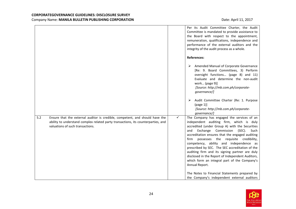|                                                                                                                                                                                                              | Per its Audit Committee Charter, the Audit<br>Committee is mandated to provide assistance to<br>the Board with respect to the appointment,<br>remuneration, qualifications, independence and<br>performance of the external auditors and the<br>integrity of the audit process as a whole.                                                                                                                                                                                                                                                                                        |
|--------------------------------------------------------------------------------------------------------------------------------------------------------------------------------------------------------------|-----------------------------------------------------------------------------------------------------------------------------------------------------------------------------------------------------------------------------------------------------------------------------------------------------------------------------------------------------------------------------------------------------------------------------------------------------------------------------------------------------------------------------------------------------------------------------------|
|                                                                                                                                                                                                              | <b>References:</b>                                                                                                                                                                                                                                                                                                                                                                                                                                                                                                                                                                |
|                                                                                                                                                                                                              | Amended Manual of Corporate Governance<br>[Re: 9. Board Committees, 3) Perform<br>oversight functions (page 8) and 11)<br>Evaluate and determine the non-audit<br>work (page 9)]<br>[Source: http://mb.com.ph/corporate-<br>governance/]                                                                                                                                                                                                                                                                                                                                          |
|                                                                                                                                                                                                              | Audit Committee Charter (Re: 1. Purpose<br>➤<br>(page 1)]<br>[Source: http://mb.com.ph/corporate-<br>governance/]                                                                                                                                                                                                                                                                                                                                                                                                                                                                 |
| 5.2<br>Ensure that the external auditor is credible, competent, and should have the<br>ability to understand complex related party transactions, its counterparties, and<br>valuations of such transactions. | $\checkmark$<br>The Company has engaged the services of an<br>independent auditing firm, which is duly<br>accredited (under Group A) with the Securities<br>Exchange Commission<br>(SEC).<br>Such<br>and<br>accreditation ensures that the engaged auditing<br>possesses the requisite credibility,<br>firm<br>competency, ability and independence as<br>prescribed by SEC. The SEC accreditation of the<br>auditing firm and its signing partner are duly<br>disclosed in the Report of Independent Auditors,<br>which form an integral part of the Company's<br>Annual Report. |
|                                                                                                                                                                                                              | The Notes to Financial Statements prepared by<br>the Company's independent external auditors                                                                                                                                                                                                                                                                                                                                                                                                                                                                                      |

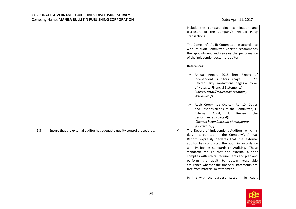| of the independent external auditor.                                                                                                                                                                                                                                                                                                                                                                                                                                                      |
|-------------------------------------------------------------------------------------------------------------------------------------------------------------------------------------------------------------------------------------------------------------------------------------------------------------------------------------------------------------------------------------------------------------------------------------------------------------------------------------------|
|                                                                                                                                                                                                                                                                                                                                                                                                                                                                                           |
| [Re: Report of<br>Independent Auditors (page 18);<br>27.<br>Related Party Transactions (pages 45 to 47<br>of Notes to Financial Statements)]<br>[Source: http://mb.com.ph/company-                                                                                                                                                                                                                                                                                                        |
| Audit Committee Charter (Re: 10. Duties<br>and Responsibilities of the Committee, E.<br>Review<br>the<br>[Source: http://mb.com.ph/corporate-                                                                                                                                                                                                                                                                                                                                             |
| The Report of Independent Auditors, which is<br>duly incorporated in the Company's Annual<br>Report, expressly declares that the external<br>auditor has conducted the audit in accordance<br>with Philippines Standards on Auditing. These<br>standards require that the external auditor<br>complies with ethical requirements and plan and<br>perform the audit to obtain reasonable<br>assurance whether the financial statements are<br>In line with the purpose stated in its Audit |
|                                                                                                                                                                                                                                                                                                                                                                                                                                                                                           |

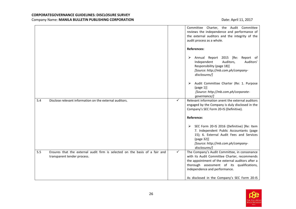|     |                                                                                                            |              | Committee Charter, the Audit Committee<br>reviews the independence and performance of<br>the external auditors and the integrity of the                                                                                         |
|-----|------------------------------------------------------------------------------------------------------------|--------------|---------------------------------------------------------------------------------------------------------------------------------------------------------------------------------------------------------------------------------|
|     |                                                                                                            |              | audit process as a whole.<br><b>References:</b>                                                                                                                                                                                 |
|     |                                                                                                            |              | Annual Report 2015 [Re:<br>Report of<br>➤<br>Independent<br>Auditors,<br>Auditors'<br>Responsibility (page 18)]<br>[Source: http://mb.com.ph/company-<br>disclosures/]                                                          |
|     |                                                                                                            |              | Audit Committee Charter (Re: 1. Purpose<br>➤<br>(page 1)]<br>[Source: http://mb.com.ph/corporate-<br>qovernance/]                                                                                                               |
| 5.4 | Disclose relevant information on the external auditors.                                                    | $\checkmark$ | Relevant information anent the external auditors<br>engaged by the Company is duly disclosed in the<br>Company's SEC Form 20-IS (Definitive).                                                                                   |
|     |                                                                                                            |              | <b>Reference:</b>                                                                                                                                                                                                               |
|     |                                                                                                            |              | SEC Form 20-IS 2016 (Definitive) [Re: Item<br>➤<br>7. Independent Public Accountants (page<br>15); 6. External Audit Fees and Services<br>(page 32)]<br>[Source: http://mb.com.ph/company-<br>disclosures/]                     |
| 5.5 | Ensures that the external audit firm is selected on the basis of a fair and<br>transparent tender process. | $\checkmark$ | The Company's Audit Committee, in consonance<br>with its Audit Committee Charter, recommends<br>the appointment of the external auditors after a<br>thorough assessment of its qualifications,<br>independence and performance. |
|     |                                                                                                            |              | As disclosed in the Company's SEC Form 20-IS                                                                                                                                                                                    |

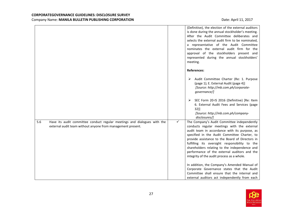|     |                                                                                                                                         |              | (Definitive), the election of the external auditors<br>is done during the annual stockholder's meeting.<br>After the Audit Committee deliberates and<br>selects the external audit firm to be nominated,<br>a representative of the Audit Committee<br>nominates the external audit firm for the<br>approval of the stockholders present and<br>represented during the annual stockholders'<br>meeting.                                         |
|-----|-----------------------------------------------------------------------------------------------------------------------------------------|--------------|-------------------------------------------------------------------------------------------------------------------------------------------------------------------------------------------------------------------------------------------------------------------------------------------------------------------------------------------------------------------------------------------------------------------------------------------------|
|     |                                                                                                                                         |              | <b>References:</b>                                                                                                                                                                                                                                                                                                                                                                                                                              |
|     |                                                                                                                                         |              | > Audit Committee Charter (Re: 1. Purpose<br>(page 1); E. External Audit (page 4)]<br>[Source: http://mb.com.ph/corporate-<br>governance/]                                                                                                                                                                                                                                                                                                      |
|     |                                                                                                                                         |              | SEC Form 20-IS 2016 (Definitive) [Re: Item<br>➤<br>6. External Audit Fees and Services (page<br>32)]<br>[Source: http://mb.com.ph/company-<br>disclosures/]                                                                                                                                                                                                                                                                                     |
| 5.6 | Have its audit committee conduct regular meetings and dialogues with the<br>external audit team without anyone from management present. | $\checkmark$ | The Company's Audit Committee independently<br>conducts regular meetings with the external<br>audit team in accordance with its purpose, as<br>specified in the Audit Committee Charter, to<br>provide assistance to the Board of Directors in<br>fulfilling its oversight responsibility to the<br>shareholders relating to the independence and<br>performance of the external auditors and the<br>integrity of the audit process as a whole. |
|     |                                                                                                                                         |              | In addition, the Company's Amended Manual of<br>Corporate Governance states that the Audit<br>Committee shall ensure that the internal and<br>external auditors act independently from each                                                                                                                                                                                                                                                     |

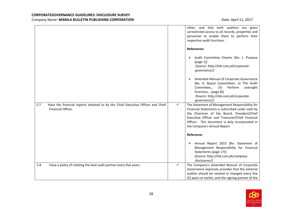|     |                                                                                                       |              | other, and that both auditors are given<br>unrestricted access to all records, properties and<br>personnel to enable them to perform their<br>respective audit functions.                                                                                                             |
|-----|-------------------------------------------------------------------------------------------------------|--------------|---------------------------------------------------------------------------------------------------------------------------------------------------------------------------------------------------------------------------------------------------------------------------------------|
|     |                                                                                                       |              | <b>References:</b>                                                                                                                                                                                                                                                                    |
|     |                                                                                                       |              | Audit Committee Charter (Re: 1. Purpose<br>➤<br>(page 1)]<br>[Source: http://mb.com.ph/corporate-<br>governance/]                                                                                                                                                                     |
|     |                                                                                                       |              | Amended Manual of Corporate Governance<br>➤<br>[Re: 9. Board Committees, a) The Audit<br>Committee<br>(3)<br>Perform<br>oversight<br>functions (page 8)]<br>[Source: http://mb.com.ph/corporate-<br>governance/]                                                                      |
| 5.7 | Have the financial reports attested to by the Chief Executive Officer and Chief<br>Financial Officer. | $\checkmark$ | The Statement of Management Responsibility for<br>Financial Statements is subscribed under oath by<br>the Chairman of the Board, President/Chief<br>Executive Officer and Treasurer/Chief Financial<br>Officer. This document is duly incorporated in<br>the Company's Annual Report. |
|     |                                                                                                       |              | <b>Reference:</b>                                                                                                                                                                                                                                                                     |
|     |                                                                                                       |              | Annual Report 2015 [Re: Statement of<br>➤<br>Management Responsibility for Financial<br>Statements (page 17)]<br>[Source: http://mb.com.ph/company-<br>disclosures/]                                                                                                                  |
| 5.8 | Have a policy of rotating the lead audit partner every five years.                                    | ✓            | The Company's Amended Manual of Corporate<br>Governance expressly provides that the external<br>auditor should be rotated or changed every five<br>(5) years or earlier, and the signing partner of the                                                                               |

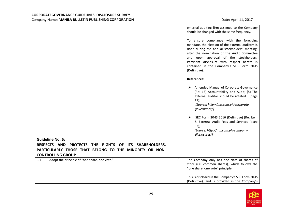|                                                                                  |   | external auditing firm assigned to the Company<br>should be changed with the same frequency.<br>To ensure compliance with the foregoing<br>mandate, the election of the external auditors is<br>done during the annual stockholders' meeting,<br>after the nomination of the Audit Committee<br>and upon approval of the stockholders.<br>Pertinent disclosure with respect hereto is<br>contained in the Company's SEC Form 20-IS<br>(Definitive). |
|----------------------------------------------------------------------------------|---|-----------------------------------------------------------------------------------------------------------------------------------------------------------------------------------------------------------------------------------------------------------------------------------------------------------------------------------------------------------------------------------------------------------------------------------------------------|
|                                                                                  |   | <b>References:</b>                                                                                                                                                                                                                                                                                                                                                                                                                                  |
|                                                                                  |   | Amended Manual of Corporate Governance<br>➤<br>[Re: 13) Accountability and Audit, (5) The<br>external auditor should be rotated (page<br>11)]<br>[Source: http://mb.com.ph/corporate-<br>governance/]<br>SEC Form 20-IS 2016 (Definitive) [Re: Item<br>➤                                                                                                                                                                                            |
|                                                                                  |   | 6. External Audit Fees and Services (page<br>32)]<br>[Source: http://mb.com.ph/company-<br>disclosures/]                                                                                                                                                                                                                                                                                                                                            |
| <b>Guideline No. 6:</b>                                                          |   |                                                                                                                                                                                                                                                                                                                                                                                                                                                     |
| <b>RESPECTS AND</b><br>PROTECTS THE RIGHTS OF<br>ITS SHAREHOLDERS,               |   |                                                                                                                                                                                                                                                                                                                                                                                                                                                     |
| PARTICULARLY THOSE THAT BELONG TO THE MINORITY OR NON-                           |   |                                                                                                                                                                                                                                                                                                                                                                                                                                                     |
| <b>CONTROLLING GROUP</b><br>Adopt the principle of "one share, one vote."<br>6.1 | ✓ | The Company only has one class of shares of                                                                                                                                                                                                                                                                                                                                                                                                         |
|                                                                                  |   | stock (i.e. common shares), which follows the<br>"one share, one vote" principle.                                                                                                                                                                                                                                                                                                                                                                   |
|                                                                                  |   | This is disclosed in the Company's SEC Form 20-IS<br>(Definitive), and is provided in the Company's                                                                                                                                                                                                                                                                                                                                                 |

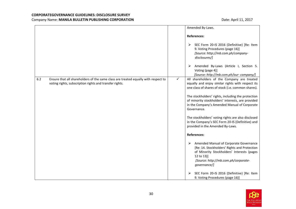|                                                                                                                                                      | Amended By-Laws.                                                                                                                                                                                                |
|------------------------------------------------------------------------------------------------------------------------------------------------------|-----------------------------------------------------------------------------------------------------------------------------------------------------------------------------------------------------------------|
|                                                                                                                                                      | <b>References:</b>                                                                                                                                                                                              |
|                                                                                                                                                      | SEC Form 20-IS 2016 (Definitive) [Re: Item<br>➤<br>9. Voting Procedures (page 16)]<br>[Source: http://mb.com.ph/company-<br>disclosures/]                                                                       |
|                                                                                                                                                      | Amended By-Laws (Article I, Section 5.<br>➤<br>Voting (page 4)]<br>[Source: http://mb.com.ph/our-company/]                                                                                                      |
| 6.2<br>Ensure that all shareholders of the same class are treated equally with respect to<br>voting rights, subscription rights and transfer rights. | ✓<br>All shareholders of the Company are treated<br>equally and enjoy similar rights with respect its<br>one class of shares of stock (i.e. common shares).                                                     |
|                                                                                                                                                      | The stockholders' rights, including the protection<br>of minority stockholders' interests, are provided<br>in the Company's Amended Manual of Corporate<br>Governance.                                          |
|                                                                                                                                                      | The stockholders' voting rights are also disclosed<br>in the Company's SEC Form 20-IS (Definitive) and<br>provided in the Amended By-Laws.                                                                      |
|                                                                                                                                                      | <b>References:</b>                                                                                                                                                                                              |
|                                                                                                                                                      | Amended Manual of Corporate Governance<br>➤<br>[Re: 14. Stockholders' Rights and Protection<br>of Minority Stockholders' Interests (pages<br>12 to 13)]<br>[Source: http://mb.com.ph/corporate-<br>governance/] |
|                                                                                                                                                      | SEC Form 20-IS 2016 (Definitive) [Re: Item<br>9. Voting Procedures (page 16)]                                                                                                                                   |

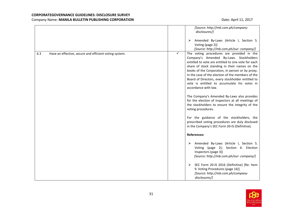|                                                               | [Source: http://mb.com.ph/company-<br>disclosures/]<br>Amended By-Laws (Article I, Section 5.<br>➤<br>Voting (page 2)]<br>[Source: http://mb.com.ph/our-company/]                                                                                                                                                                                                                                                                                                                                                                                                                                                                                                                                                                                                              |
|---------------------------------------------------------------|--------------------------------------------------------------------------------------------------------------------------------------------------------------------------------------------------------------------------------------------------------------------------------------------------------------------------------------------------------------------------------------------------------------------------------------------------------------------------------------------------------------------------------------------------------------------------------------------------------------------------------------------------------------------------------------------------------------------------------------------------------------------------------|
| 6.3<br>Have an effective, secure and efficient voting system. | $\checkmark$<br>The voting procedures are provided in the<br>Company's Amended By-Laws. Stockholders<br>entitled to vote are entitled to one vote for each<br>share of stock standing in their names on the<br>books of the Corporation, in person or by proxy.<br>In the case of the election of the members of the<br>Board of Directors, every stockholder entitled to<br>vote is entitled to accumulate his votes in<br>accordance with law.<br>The Company's Amended By-Laws also provides<br>for the election of inspectors at all meetings of<br>the stockholders to ensure the integrity of the<br>voting procedures.<br>For the guidance of the stockholders, the<br>prescribed voting procedures are duly disclosed<br>in the Company's SEC Form 20-IS (Definitive). |
|                                                               | <b>References:</b>                                                                                                                                                                                                                                                                                                                                                                                                                                                                                                                                                                                                                                                                                                                                                             |
|                                                               | Amended By-Laws (Article I, Section 5.<br>➤<br>Voting (page 2); Section 6. Election<br>Inspectors (page 3)]<br>[Source: http://mb.com.ph/our-company/]                                                                                                                                                                                                                                                                                                                                                                                                                                                                                                                                                                                                                         |
|                                                               | SEC Form 20-IS 2016 (Definitive) [Re: Item<br>➤<br>9. Voting Procedures (page 16)]<br>[Source: http://mb.com.ph/company-<br>disclosures/]                                                                                                                                                                                                                                                                                                                                                                                                                                                                                                                                                                                                                                      |

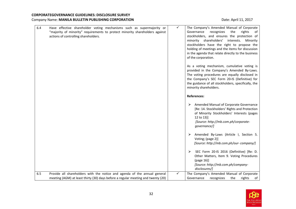| 6.4 | Have effective shareholder voting mechanisms such as supermajority or<br>"majority of minority" requirements to protect minority shareholders against<br>actions of controlling shareholders. | ✓ | The Company's Amended Manual of Corporate<br>Governance<br>recognizes<br>the<br>rights<br>οf<br>stockholders, and ensures the protection of<br>minority shareholders'<br>interests.<br>Minority<br>stockholders have the right to propose the<br>holding of meetings and the items for discussion<br>in the agenda that relate directly to the business<br>of the corporation.<br>As a voting mechanism, cumulative voting is<br>provided in the Company's Amended By-Laws.<br>The voting procedures are equally disclosed in<br>the Company's SEC Form 20-IS (Definitive) for<br>the guidance of all stockholders, specifically, the<br>minority shareholders.<br><b>References:</b> |
|-----|-----------------------------------------------------------------------------------------------------------------------------------------------------------------------------------------------|---|---------------------------------------------------------------------------------------------------------------------------------------------------------------------------------------------------------------------------------------------------------------------------------------------------------------------------------------------------------------------------------------------------------------------------------------------------------------------------------------------------------------------------------------------------------------------------------------------------------------------------------------------------------------------------------------|
|     |                                                                                                                                                                                               |   | Amended Manual of Corporate Governance<br>➤<br>[Re: 14. Stockholders' Rights and Protection<br>of Minority Stockholders' Interests (pages<br>12 to 13)]<br>[Source: http://mb.com.ph/corporate-<br>governance/]<br>Amended By-Laws (Article I, Section 5.<br>Voting; (page 2)]<br>[Source: http://mb.com.ph/our-company/]<br>SEC Form 20-IS 2016 (Definitive) [Re: D.<br>➤<br>Other Matters, Item 9. Voting Procedures<br>(page 16)]<br>[Source: http://mb.com.ph/company-<br>disclosures/]                                                                                                                                                                                           |
| 6.5 | Provide all shareholders with the notice and agenda of the annual general<br>meeting (AGM) at least thirty (30) days before a regular meeting and twenty (20)                                 | ✓ | The Company's Amended Manual of Corporate<br>of<br>Governance<br>recognizes<br>the<br>rights                                                                                                                                                                                                                                                                                                                                                                                                                                                                                                                                                                                          |

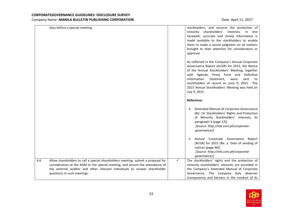|     | days before a special meeting.                                                                                                                                                                                                                                                |              | stockholders, and ensures the protection of<br>minority shareholders'<br>interests.<br>In line<br>herewith, accurate and timely information is<br>made available to the stockholders to enable<br>them to make a sound judgment on all matters<br>brought to their attention for consideration or<br>approval.                                                 |
|-----|-------------------------------------------------------------------------------------------------------------------------------------------------------------------------------------------------------------------------------------------------------------------------------|--------------|----------------------------------------------------------------------------------------------------------------------------------------------------------------------------------------------------------------------------------------------------------------------------------------------------------------------------------------------------------------|
|     |                                                                                                                                                                                                                                                                               |              | As reflected in the Company's Annual Corporate<br>Governance Report (ACGR) for 2015, the Notice<br>of the Annual Stockholders' Meeting, together<br>with Agenda, Proxy Form and Definitive<br>Information<br>Statement.<br>sent<br>were<br>to<br>stockholders of record on June 9, 2015. The<br>2015 Annual Stockholders' Meeting was held on<br>July 9, 2015. |
|     |                                                                                                                                                                                                                                                                               |              | Reference:                                                                                                                                                                                                                                                                                                                                                     |
|     |                                                                                                                                                                                                                                                                               |              | Amended Manual of Corporate Governance<br>➤<br>[Re: 14. Stockholders' Rights and Protection<br>of Minority Stockholders' Interests, b)<br>paragraph 3 (page 12)]<br>[Source: http://mb.com.ph/corporate-<br>governance/]                                                                                                                                       |
|     |                                                                                                                                                                                                                                                                               |              | Annual Corporate Governance<br>➤<br>Report<br>(ACGR) for 2015 [Re: a. Date of sending of<br>notices (page 46)]<br>[Source: http://mb.com.ph/corporate-<br>governance/]                                                                                                                                                                                         |
| 6.6 | Allow shareholders to call a special shareholders meeting, submit a proposal for<br>consideration at the AGM or the special meeting, and ensure the attendance of<br>the external auditor and other relevant individuals to answer shareholder<br>questions in such meetings. | $\checkmark$ | The stockholders' rights and the protection of<br>minority stockholders' interests are provided in<br>the Company's Amended Manual of Corporate<br>Governance. The Company duly observes<br>transparency and fairness in the conduct of its                                                                                                                    |

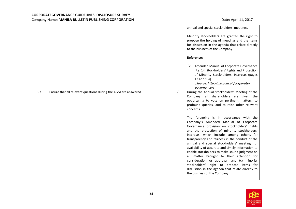|                                                                        |   | annual and special stockholders' meetings.<br>Minority stockholders are granted the right to                                                                                                                                                                                                                                                                                                                                                                                                                                                                                                                                                                           |
|------------------------------------------------------------------------|---|------------------------------------------------------------------------------------------------------------------------------------------------------------------------------------------------------------------------------------------------------------------------------------------------------------------------------------------------------------------------------------------------------------------------------------------------------------------------------------------------------------------------------------------------------------------------------------------------------------------------------------------------------------------------|
|                                                                        |   | propose the holding of meetings and the items<br>for discussion in the agenda that relate directly<br>to the business of the Company.                                                                                                                                                                                                                                                                                                                                                                                                                                                                                                                                  |
|                                                                        |   | Reference:                                                                                                                                                                                                                                                                                                                                                                                                                                                                                                                                                                                                                                                             |
|                                                                        |   | Amended Manual of Corporate Governance<br>[Re: 14. Stockholders' Rights and Protection<br>of Minority Stockholders' Interests (pages<br>12 and 13)]<br>[Source: http://mb.com.ph/corporate-<br>governance/]                                                                                                                                                                                                                                                                                                                                                                                                                                                            |
| 6.7<br>Ensure that all relevant questions during the AGM are answered. | ✓ | During the Annual Stockholders' Meeting of the<br>Company, all shareholders are given the<br>opportunity to vote on pertinent matters, to<br>profound queries, and to raise other relevant<br>concerns.                                                                                                                                                                                                                                                                                                                                                                                                                                                                |
|                                                                        |   | The foregoing is in accordance with the<br>Company's Amended Manual of Corporate<br>Governance provision on stockholders' rights<br>and the protection of minority stockholders'<br>interests, which include, among others, (a)<br>transparency and fairness in the conduct of the<br>annual and special stockholders' meeting, (b)<br>availability of accurate and timely information to<br>enable stockholders to make sound judgment on<br>all matter brought to their attention for<br>consideration or approval, and (c) minority<br>stockholders' right to propose items for<br>discussion in the agenda that relate directly to<br>the business of the Company. |

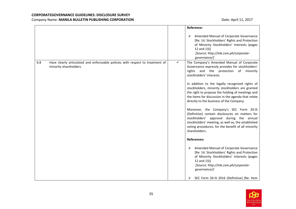|     |                                                                                                          |   | Reference:                                                                                                                                                                                                                                                         |
|-----|----------------------------------------------------------------------------------------------------------|---|--------------------------------------------------------------------------------------------------------------------------------------------------------------------------------------------------------------------------------------------------------------------|
|     |                                                                                                          |   | Amended Manual of Corporate Governance<br>➤<br>[Re: 14. Stockholders' Rights and Protection<br>of Minority Stockholders' Interests (pages<br>12 and 13)]<br>[Source: http://mb.com.ph/corporate-<br>governance/]                                                   |
| 6.8 | Have clearly articulated and enforceable policies with respect to treatment of<br>minority shareholders. | ✓ | The Company's Amended Manual of Corporate<br>Governance expressly provides for stockholders'<br>rights and the protection of<br>minority<br>stockholders' interests.                                                                                               |
|     |                                                                                                          |   | In addition to the legally recognized rights of<br>stockholders, minority stockholders are granted<br>the right to propose the holding of meetings and<br>the items for discussion in the agenda that relate<br>directly to the business of the Company.           |
|     |                                                                                                          |   | Moreover, the Company's SEC Form 20-IS<br>(Definitive) contain disclosures on matters for<br>stockholders' approval during the annual<br>stockholders' meeting, as well as, the established<br>voting procedures, for the benefit of all minority<br>shareholders. |
|     |                                                                                                          |   | <b>References:</b>                                                                                                                                                                                                                                                 |
|     |                                                                                                          |   | Amended Manual of Corporate Governance<br>➤<br>[Re: 14. Stockholders' Rights and Protection<br>of Minority Stockholders' Interests (pages<br>12 and 13)]<br>[Source: http://mb.com.ph/corporate-<br>governance/]                                                   |
|     |                                                                                                          |   | SEC Form 20-IS 2016 (Definitive) [Re: Item<br>➤                                                                                                                                                                                                                    |

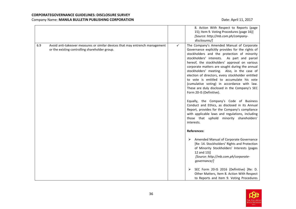|     |                                                                                                                                |              | 8. Action With Respect to Reports (page<br>15); Item 9. Voting Procedures (page 16)]<br>[Source: http://mb.com.ph/company-<br>disclosures/]                                                                                                                                                                                                                                                                                                                                                                                                                                                                                                                                                                                                                                                                                             |
|-----|--------------------------------------------------------------------------------------------------------------------------------|--------------|-----------------------------------------------------------------------------------------------------------------------------------------------------------------------------------------------------------------------------------------------------------------------------------------------------------------------------------------------------------------------------------------------------------------------------------------------------------------------------------------------------------------------------------------------------------------------------------------------------------------------------------------------------------------------------------------------------------------------------------------------------------------------------------------------------------------------------------------|
| 6.9 | Avoid anti-takeover measures or similar devices that may entrench management<br>or the existing controlling shareholder group. | $\checkmark$ | The Company's Amended Manual of Corporate<br>Governance explicitly provides for the rights of<br>stockholders and the protection of minority<br>stockholders' interests. As part and parcel<br>hereof, the stockholders' approval on various<br>corporate matters are sought during the annual<br>stockholders' meeting. Also, in the case of<br>election of directors, every stockholder entitled<br>to vote is entitled to accumulate his vote<br>(cumulative voting) in accordance with law.<br>These are duly disclosed in the Company's SEC<br>Form 20-IS (Definitive).<br>Equally, the Company's Code of Business<br>Conduct and Ethics, as disclosed in its Annual<br>Report, provides for the Company's compliance<br>with applicable laws and regulations, including<br>those that uphold minority shareholders'<br>interests. |
|     |                                                                                                                                |              | <b>References:</b><br>Amended Manual of Corporate Governance<br>➤<br>[Re: 14. Stockholders' Rights and Protection<br>of Minority Stockholders' Interests (pages<br>12 and 13)]<br>[Source: http://mb.com.ph/corporate-<br>governance/]                                                                                                                                                                                                                                                                                                                                                                                                                                                                                                                                                                                                  |
|     |                                                                                                                                |              | SEC Form 20-IS 2016 (Definitive) [Re: D.<br>➤<br>Other Matters, Item 8. Action With Respect<br>to Reports and Item 9. Voting Procedures                                                                                                                                                                                                                                                                                                                                                                                                                                                                                                                                                                                                                                                                                                 |

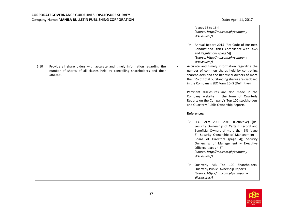|      |                                                                                                                                                                          |              | (pages 15 to 16)]<br>[Source: http://mb.com.ph/company-<br>disclosures/]<br>Annual Report 2015 [Re: Code of Business<br>➤<br>Conduct and Ethics, Compliance with Laws<br>and Regulations (page 5)]<br>[Source: http://mb.com.ph/company-<br>disclosures/]                                                                                                                                                                                                                           |
|------|--------------------------------------------------------------------------------------------------------------------------------------------------------------------------|--------------|-------------------------------------------------------------------------------------------------------------------------------------------------------------------------------------------------------------------------------------------------------------------------------------------------------------------------------------------------------------------------------------------------------------------------------------------------------------------------------------|
| 6.10 | Provide all shareholders with accurate and timely information regarding the<br>number of shares of all classes held by controlling shareholders and their<br>affiliates. | $\checkmark$ | Accurate and timely information regarding the<br>number of common shares held by controlling<br>shareholders and the beneficial owners of more<br>than 5% of total outstanding shares are disclosed<br>in the Company's SEC Form 20-IS (Definitive).<br>Pertinent disclosures are also made in the<br>Company website in the form of Quarterly<br>Reports on the Company's Top 100 stockholders<br>and Quarterly Public Ownership Reports.                                          |
|      |                                                                                                                                                                          |              | <b>References:</b><br>SEC Form 20-IS 2016 (Definitive) [Re:<br>➤<br>Security Ownership of Certain Record and<br>Beneficial Owners of more than 5% (page<br>3); Security Ownership of Management -<br>Board of Directors (page 4); Security<br>Ownership of Management - Executive<br>Officers (pages 4-5)]<br>[Source: http://mb.com.ph/company-<br>disclosures/]<br>Quarterly MB Top 100 Shareholders;<br>Quarterly Public Ownership Reports<br>[Source: http://mb.com.ph/company- |

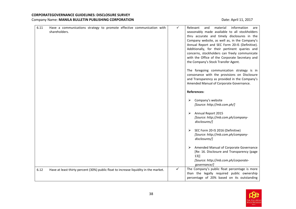| 6.11 | Have a communications strategy to promote effective communication with<br>shareholders. | $\checkmark$ | information<br>Relevant<br>material<br>and<br>are<br>seasonably made available to all stockholders<br>thru accurate and timely disclosures in the<br>Company website, as well as, in the Company's<br>Annual Report and SEC Form 20-IS (Definitive).<br>Additionally, for their pertinent queries and<br>concerns, stockholders can freely communicate<br>with the Office of the Corporate Secretary and<br>the Company's Stock Transfer Agent.<br>The foregoing communication strategy is in<br>consonance with the provisions on Disclosure<br>and Transparency as provided in the Company's<br>Amended Manual of Corporate Governance. |
|------|-----------------------------------------------------------------------------------------|--------------|-------------------------------------------------------------------------------------------------------------------------------------------------------------------------------------------------------------------------------------------------------------------------------------------------------------------------------------------------------------------------------------------------------------------------------------------------------------------------------------------------------------------------------------------------------------------------------------------------------------------------------------------|
|      |                                                                                         |              | <b>References:</b>                                                                                                                                                                                                                                                                                                                                                                                                                                                                                                                                                                                                                        |
|      |                                                                                         |              | Company's website<br>➤<br>[Source: http://mb.com.ph/]                                                                                                                                                                                                                                                                                                                                                                                                                                                                                                                                                                                     |
|      |                                                                                         |              | Annual Report 2015<br>➤<br>[Source: http://mb.com.ph/company-<br>disclosures/]                                                                                                                                                                                                                                                                                                                                                                                                                                                                                                                                                            |
|      |                                                                                         |              | SEC Form 20-IS 2016 (Definitive)<br>➤<br>[Source: http://mb.com.ph/company-<br>disclosures/]                                                                                                                                                                                                                                                                                                                                                                                                                                                                                                                                              |
|      |                                                                                         |              | Amended Manual of Corporate Governance<br>➤<br>[Re: 16. Disclosure and Transparency (page<br>13)]<br>[Source: http://mb.com.ph/corporate-                                                                                                                                                                                                                                                                                                                                                                                                                                                                                                 |
| 6.12 | Have at least thirty percent (30%) public float to increase liquidity in the market.    | ✓            | governance/]<br>The Company's public float percentage is more                                                                                                                                                                                                                                                                                                                                                                                                                                                                                                                                                                             |
|      |                                                                                         |              | than the legally required public ownership<br>percentage of 20% based on its outstanding                                                                                                                                                                                                                                                                                                                                                                                                                                                                                                                                                  |

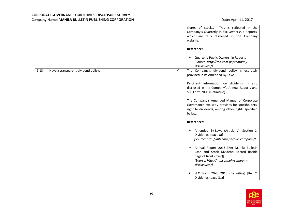|                                             |   | This is reflected in the<br>shares of stocks.<br>Company's Quarterly Public Ownership Reports,<br>which are duly disclosed in the Company<br>website.                  |
|---------------------------------------------|---|------------------------------------------------------------------------------------------------------------------------------------------------------------------------|
|                                             |   | Reference:                                                                                                                                                             |
|                                             |   | <b>Quarterly Public Ownership Reports</b><br>➤<br>[Source: http://mb.com.ph/company-<br>disclosures/]                                                                  |
| 6.13<br>Have a transparent dividend policy. | ✓ | The Company's dividend policy is expressly<br>provided in its Amended By-Laws.                                                                                         |
|                                             |   | Pertinent information on dividends is also<br>disclosed in the Company's Annual Reports and<br>SEC Form 20-IS (Definitive).                                            |
|                                             |   | The Company's Amended Manual of Corporate<br>Governance explicitly provides for stockholders'<br>right to dividends, among other rights specified<br>by law.           |
|                                             |   | <b>References:</b>                                                                                                                                                     |
|                                             |   | Amended By-Laws (Article VI, Section 1.<br>➤<br>Dividends; (page 8)]<br>[Source: http://mb.com.ph/our-company/]                                                        |
|                                             |   | Annual Report 2015 [Re: Manila Bulletin<br>➤<br>Cash and Stock Dividend Record (inside<br>page of front cover)]<br>[Source: http://mb.com.ph/company-<br>disclosures/] |
|                                             |   | SEC Form 20-IS 2016 (Definitive) [Re: C.<br>➤<br>Dividends (page 31)]                                                                                                  |

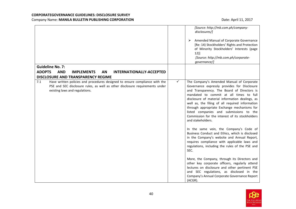|                                                                                                                                                                                                      | [Source: http://mb.com.ph/company-<br>disclosures/]<br>Amended Manual of Corporate Governance<br>➤<br>[Re: 14) Stockholders' Rights and Protection<br>of Minority Stockholders' Interests (page<br>12)]<br>[Source: http://mb.com.ph/corporate-<br>governance/]                                                                                                                                                                                                                                                                                                                                                                                                                                                                                                                                                            |
|------------------------------------------------------------------------------------------------------------------------------------------------------------------------------------------------------|----------------------------------------------------------------------------------------------------------------------------------------------------------------------------------------------------------------------------------------------------------------------------------------------------------------------------------------------------------------------------------------------------------------------------------------------------------------------------------------------------------------------------------------------------------------------------------------------------------------------------------------------------------------------------------------------------------------------------------------------------------------------------------------------------------------------------|
| <b>Guideline No. 7:</b>                                                                                                                                                                              |                                                                                                                                                                                                                                                                                                                                                                                                                                                                                                                                                                                                                                                                                                                                                                                                                            |
| <b>ADOPTS</b><br><b>AND</b><br><b>IMPLEMENTS</b><br>AN<br><b>INTERNATIONALLY-ACCEPTED</b><br><b>DISCLOSURE AND TRANSPARENCY REGIME</b>                                                               |                                                                                                                                                                                                                                                                                                                                                                                                                                                                                                                                                                                                                                                                                                                                                                                                                            |
| 7.1<br>Have written policies and procedures designed to ensure compliance with the<br>PSE and SEC disclosure rules, as well as other disclosure requirements under<br>existing laws and regulations. | ✓<br>The Company's Amended Manual of Corporate<br>Governance expressly provides for Disclosure<br>and Transparency. The Board of Directors is<br>mandated to commit at all times to full<br>disclosure of material information dealings, as<br>well as, the filing of all required information<br>through appropriate Exchange mechanisms for<br>listed companies and submissions to the<br>Commission for the interest of its stockholders<br>and stakeholders.<br>In the same vein, the Company's Code of<br>Business Conduct and Ethics, which is disclosed<br>in the Company's website and Annual Report,<br>requires compliance with applicable laws and<br>regulations, including the rules of the PSE and<br>SEC.<br>More, the Company, through its Directors and<br>other key corporate officers, regularly attend |
|                                                                                                                                                                                                      | lectures on disclosure and other pertinent PSE<br>and SEC regulations, as disclosed in the<br>Company's Annual Corporate Governance Report<br>(ACGR).                                                                                                                                                                                                                                                                                                                                                                                                                                                                                                                                                                                                                                                                      |

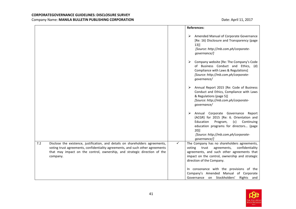|                                                                                                                                                                                                                                                                  | <b>References:</b>                                                                                                                                                                                                                           |
|------------------------------------------------------------------------------------------------------------------------------------------------------------------------------------------------------------------------------------------------------------------|----------------------------------------------------------------------------------------------------------------------------------------------------------------------------------------------------------------------------------------------|
|                                                                                                                                                                                                                                                                  | Amended Manual of Corporate Governance<br>➤<br>[Re: 16) Disclosure and Transparency (page<br>$13$ ]<br>[Source: http://mb.com.ph/corporate-<br>governance/]                                                                                  |
|                                                                                                                                                                                                                                                                  | Company website [Re: The Company's Code<br>of Business Conduct and Ethics, (d)<br>Compliance with Laws & Regulations]<br>[Source: http://mb.com.ph/corporate-<br>governance/                                                                 |
|                                                                                                                                                                                                                                                                  | Annual Report 2015 [Re: Code of Business<br>➤<br>Conduct and Ethics, Compliance with Laws<br>& Regulations (page 5)]<br>[Source: http://mb.com.ph/corporate-<br>governance/                                                                  |
|                                                                                                                                                                                                                                                                  | Annual Corporate Governance Report<br>➤<br>(ACGR) for 2015 [Re: 6. Orientation and<br>Education<br>Program,<br>(c)<br>Continuing<br>education programs for directors (page<br>$20$ ]<br>[Source: http://mb.com.ph/corporate-<br>governance/] |
| 7.2<br>Disclose the existence, justification, and details on shareholders agreements,<br>voting trust agreements, confidentiality agreements, and such other agreements<br>that may impact on the control, ownership, and strategic direction of the<br>company. | $\checkmark$<br>The Company has no shareholders agreements,<br>voting trust<br>agreements,<br>confidentiality<br>agreements, and such other agreements that<br>impact on the control, ownership and strategic<br>direction of the Company.   |
|                                                                                                                                                                                                                                                                  | In consonance with the provisions of the<br>Company's Amended Manual of Corporate<br>Governance on Stockholders'<br>Rights and                                                                                                               |

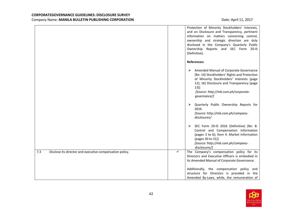|                                                                 | Protection of Minority Stockholders' Interests,<br>and on Disclosure and Transparency, pertinent<br>information on matters concerning control,<br>ownership and strategic direction are duly<br>disclosed in the Company's Quarterly Public<br>Ownership Reports and SEC Form 20-IS<br>(Definitive). |
|-----------------------------------------------------------------|------------------------------------------------------------------------------------------------------------------------------------------------------------------------------------------------------------------------------------------------------------------------------------------------------|
|                                                                 | <b>References:</b>                                                                                                                                                                                                                                                                                   |
|                                                                 | Amended Manual of Corporate Governance<br>➤<br>[Re: 14) Stockholders' Rights and Protection<br>of Minority Stockholders' Interests (page<br>12); 16) Disclosure and Transparency (page<br>13)<br>[Source: http://mb.com.ph/corporate-<br>governance/]                                                |
|                                                                 | Quarterly Public Ownership Reports for<br>$\blacktriangleright$<br>2016<br>[Source: http://mb.com.ph/company-<br>disclosures/                                                                                                                                                                        |
|                                                                 | SEC Form 20-IS 2016 (Definitive) [Re: B.<br>➤<br>Control and Compensation Information<br>(pages 3 to 6); Item 4. Market Information<br>(pages 30 to 31)]<br>[Source: http://mb.com.ph/company-<br>disclosures/]                                                                                      |
| 7.3<br>Disclose its director and executive compensation policy. | ✓<br>The Company's compensation policy for its<br>Directors and Executive Officers is embodied in<br>its Amended Manual of Corporate Governance.                                                                                                                                                     |
|                                                                 | Additionally, the compensation policy and<br>structure for Directors is provided in the<br>Amended By-Laws, while, the remuneration of                                                                                                                                                               |

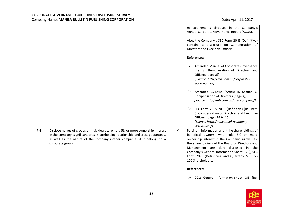|                                                                                                                                                                                                                                                                             | management is disclosed in the Company's<br>Annual Corporate Governance Report (ACGR).<br>Also, the Company's SEC Form 20-IS (Definitive)<br>contains a disclosure on Compensation of<br>Directors and Executive Officers.                                                                                                                                           |
|-----------------------------------------------------------------------------------------------------------------------------------------------------------------------------------------------------------------------------------------------------------------------------|----------------------------------------------------------------------------------------------------------------------------------------------------------------------------------------------------------------------------------------------------------------------------------------------------------------------------------------------------------------------|
|                                                                                                                                                                                                                                                                             | <b>References:</b>                                                                                                                                                                                                                                                                                                                                                   |
|                                                                                                                                                                                                                                                                             | Amended Manual of Corporate Governance<br>➤<br>[Re: 8) Remuneration of Directors and<br>Officers (page 8)]<br>[Source: http://mb.com.ph/corporate-<br>governance/]                                                                                                                                                                                                   |
|                                                                                                                                                                                                                                                                             | Amended By-Laws (Article II, Section 6.<br>➤<br>Compensation of Directors (page 4)]<br>[Source: http://mb.com.ph/our-company/]                                                                                                                                                                                                                                       |
|                                                                                                                                                                                                                                                                             | SEC Form 20-IS 2016 (Definitive) [Re: Item<br>➤<br>6. Compensation of Directors and Executive<br>Officers (pages 14 to 15)]<br>[Source: http://mb.com.ph/company-<br>disclosures/]                                                                                                                                                                                   |
| 7.4<br>Disclose names of groups or individuals who hold 5% or more ownership interest<br>in the company, significant cross-shareholding relationship and cross guarantees,<br>as well as the nature of the company's other companies if it belongs to a<br>corporate group. | ✓<br>Pertinent information anent the shareholdings of<br>beneficial owners, who hold 5% or more<br>ownership interest in the Company, as well as,<br>the shareholdings of the Board of Directors and<br>Management are duly disclosed in the<br>Company's General Information Sheet (GIS), SEC<br>Form 20-IS (Definitive), and Quarterly MB Top<br>100 Shareholders. |
|                                                                                                                                                                                                                                                                             | <b>References:</b><br>2016 General Information Sheet (GIS) [Re:<br>➤                                                                                                                                                                                                                                                                                                 |

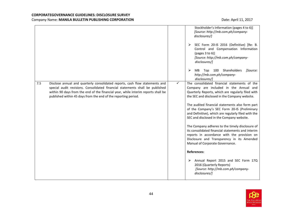|     |                                                                                                                                                                                                                                                                                                                      |              | Stockholder's Information (pages 4 to 6)]<br>[Source: http://mb.com.ph/company-<br>disclosures/]<br>SEC Form 20-IS 2016 (Definitive) [Re: B.<br>➤<br>Control and Compensation Information<br>(pages 3 to 6)]<br>[Source: http://mb.com.ph/company-<br>disclosures/]<br>Top 100 Shareholders<br>➤<br>[Source:<br>MВ<br>http://mb.com.ph/company-<br>disclosures/]                                                                                                                                                                                                                                                                                                                                                                                                                                 |
|-----|----------------------------------------------------------------------------------------------------------------------------------------------------------------------------------------------------------------------------------------------------------------------------------------------------------------------|--------------|--------------------------------------------------------------------------------------------------------------------------------------------------------------------------------------------------------------------------------------------------------------------------------------------------------------------------------------------------------------------------------------------------------------------------------------------------------------------------------------------------------------------------------------------------------------------------------------------------------------------------------------------------------------------------------------------------------------------------------------------------------------------------------------------------|
| 7.5 | Disclose annual and quarterly consolidated reports, cash flow statements and<br>special audit revisions. Consolidated financial statements shall be published<br>within 90 days from the end of the financial year, while interim reports shall be<br>published within 45 days from the end of the reporting period. | $\checkmark$ | The consolidated financial statements of the<br>Company are included in the Annual and<br>Quarterly Reports, which are regularly filed with<br>the SEC and disclosed in the Company website.<br>The audited financial statements also form part<br>of the Company's SEC Form 20-IS (Preliminary<br>and Definitive), which are regularly filed with the<br>SEC and disclosed in the Company website.<br>The Company adheres to the timely disclosure of<br>its consolidated financial statements and interim<br>reports in accordance with the provision on<br>Disclosure and Transparency in its Amended<br>Manual of Corporate Governance.<br><b>References:</b><br>Annual Report 2015 and SEC Form 17Q<br>≻<br>2016 (Quarterly Reports)<br>[Source: http://mb.com.ph/company-<br>disclosures/] |

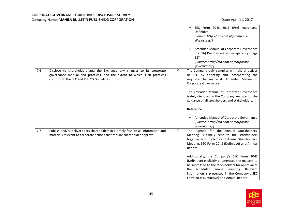|     |                                                                                                                                                                                                |   | SEC Form 20-IS 2016 (Preliminary and<br>➤<br>Definitive)<br>[Source: http://mb.com.ph/company-<br>disclosures/]                                                                                                                                                                                                      |
|-----|------------------------------------------------------------------------------------------------------------------------------------------------------------------------------------------------|---|----------------------------------------------------------------------------------------------------------------------------------------------------------------------------------------------------------------------------------------------------------------------------------------------------------------------|
|     |                                                                                                                                                                                                |   | Amended Manual of Corporate Governance<br>➤<br>[Re: 16) Disclosure and Transparency (page<br>13)]<br>[Source: http://mb.com.ph/corporate-<br>governance/]                                                                                                                                                            |
| 7.6 | Disclose to shareholders and the Exchange any changes to its corporate<br>governance manual and practices, and the extent to which such practices<br>conform to the SEC and PSE CG Guidelines. | ✓ | The Company duly complies with the directives<br>of SEC by adopting and incorporating the<br>requisite changes in its Amended Manual of<br>Corporate Governance.<br>The Amended Manual of Corporate Governance<br>is duly disclosed in the Company website for the<br>guidance of all stockholders and stakeholders. |
|     |                                                                                                                                                                                                |   | Reference:<br>Amended Manual of Corporate Governance<br>➤<br>[Source: http://mb.com.ph/corporate-<br>governance/]                                                                                                                                                                                                    |
| 7.7 | Publish and/or deliver to its shareholders in a timely fashion all information and<br>materials relevant to corporate actions that require shareholder approval.                               | ✓ | The Agenda for the Annual Stockholders'<br>Meeting is timely sent to the stockholders<br>together with the Notice of Annual Stockholders'<br>Meeting, SEC Form 20-IS (Definitive) and Annual<br>Report.                                                                                                              |
|     |                                                                                                                                                                                                |   | Additionally, the Company's SEC Form 20-IS<br>(Definitive) explicitly enumerates the matters to<br>be submitted to the stockholders for approval at<br>the scheduled annual meeting. Relevant<br>information is presented in the Company's SEC<br>Form 20-IS (Definitive) and Annual Report.                         |

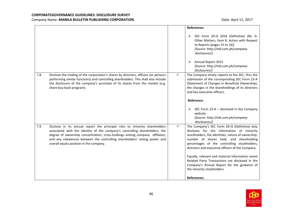|     |                                                                                                                                                                                                                                                                                        |   | <b>References:</b>                                                                                                                                                                                                                                                                                                                                                  |
|-----|----------------------------------------------------------------------------------------------------------------------------------------------------------------------------------------------------------------------------------------------------------------------------------------|---|---------------------------------------------------------------------------------------------------------------------------------------------------------------------------------------------------------------------------------------------------------------------------------------------------------------------------------------------------------------------|
|     |                                                                                                                                                                                                                                                                                        |   | > SEC Form 20-IS 2016 (Definitive) (Re: D.<br>Other Matters, Item 8. Action with Respect<br>to Reports (pages 15 to 16)]<br>[Source: http://mb.com.ph/company-<br>disclosures/]<br>Annual Report 2015<br>➤<br>[Source: http://mb.com.ph/company-<br>disclosures/]                                                                                                   |
| 7.8 | Disclose the trading of the corporation's shares by directors, officers (or persons<br>performing similar functions) and controlling shareholders. This shall also include<br>the disclosure of the company's purchase of its shares from the market (e.g.<br>share buy-back program). | ✓ | The Company timely reports to the SEC, thru the<br>submission of the corresponding SEC Form 23-A<br>(Statement of Changes in Beneficial Ownership),<br>the changes in the shareholdings of its directors<br>and key executive officers.<br>Reference:<br>$\triangleright$ SEC Form 23-A – disclosed in the Company<br>website<br>[Source: http://mb.com.ph/company- |
| 7.9 | Disclose in its annual report the principal risks to minority shareholders<br>associated with the identity of the company's controlling shareholders; the<br>degree of ownership concentration; cross-holdings among company affiliates;                                               | ✓ | disclosures/]<br>The Company's SEC Form 20-IS (Definitive) duly<br>discloses for the information of minority<br>stockholders, the identities, nature of ownership,                                                                                                                                                                                                  |
|     | and any imbalances between the controlling shareholders' voting power and<br>overall equity position in the company.                                                                                                                                                                   |   | number of shares held, and shareholding<br>percentages of the controlling stockholders,<br>directors and executive officers of the Company.                                                                                                                                                                                                                         |
|     |                                                                                                                                                                                                                                                                                        |   | Equally, relevant and material information anent<br>Related Party Transactions are disclosed in the<br>Company's Annual Report for the guidance of<br>the minority stockholders.                                                                                                                                                                                    |
|     |                                                                                                                                                                                                                                                                                        |   | <b>References:</b>                                                                                                                                                                                                                                                                                                                                                  |

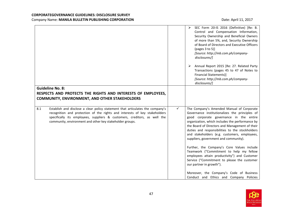|     |                                                                                                                                                                                                                                                                                                       |   | SEC Form 20-IS 2016 (Definitive) [Re: B.<br>➤<br>Control and Compensation Information,<br>Security Ownership and Beneficial Owners<br>of more than 5%, and, Security Ownership<br>of Board of Directors and Executive Officers<br>(pages 3 to 5)]<br>[Source: http://mb.com.ph/company-<br>disclosures/]                                                                                                                                                                                                                                                                                                    |
|-----|-------------------------------------------------------------------------------------------------------------------------------------------------------------------------------------------------------------------------------------------------------------------------------------------------------|---|-------------------------------------------------------------------------------------------------------------------------------------------------------------------------------------------------------------------------------------------------------------------------------------------------------------------------------------------------------------------------------------------------------------------------------------------------------------------------------------------------------------------------------------------------------------------------------------------------------------|
|     |                                                                                                                                                                                                                                                                                                       |   | Annual Report 2015 [Re: 27. Related Party<br>➤<br>Transactions (pages 45 to 47 of Notes to<br><b>Financial Statements)]</b><br>[Source: http://mb.com.ph/company-<br>disclosures/]                                                                                                                                                                                                                                                                                                                                                                                                                          |
|     | <b>Guideline No. 8:</b><br>RESPECTS AND PROTECTS THE RIGHTS AND INTERESTS OF EMPLOYEES,<br><b>COMMUNITY, ENVIRONMENT, AND OTHER STAKEHOLDERS</b>                                                                                                                                                      |   |                                                                                                                                                                                                                                                                                                                                                                                                                                                                                                                                                                                                             |
| 8.1 | Establish and disclose a clear policy statement that articulates the company's<br>recognition and protection of the rights and interests of key stakeholders<br>specifically its employees, suppliers & customers, creditors, as well the<br>community, environment and other key stakeholder groups. | ✓ | The Company's Amended Manual of Corporate<br>Governance institutionalizes the principles of<br>good corporate governance in the entire<br>organization, which includes the performance by<br>the Board of Directors and Management of their<br>duties and responsibilities to the stockholders<br>and stakeholders (e.g. customers, employees,<br>suppliers, government and community).<br>Further, the Company's Core Values include<br>Teamwork ("Commitment to help my fellow<br>employees attain productivity") and Customer<br>Service ("Commitment to please the customer<br>our partner in growth"). |
|     |                                                                                                                                                                                                                                                                                                       |   | Moreover, the Company's Code of Business<br>Conduct and Ethics and Company Policies                                                                                                                                                                                                                                                                                                                                                                                                                                                                                                                         |

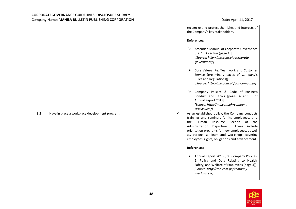|   | recognize and protect the rights and interests of<br>the Company's key stakeholders.                                                                                                                                                                                                                                                            |
|---|-------------------------------------------------------------------------------------------------------------------------------------------------------------------------------------------------------------------------------------------------------------------------------------------------------------------------------------------------|
|   | <b>References:</b>                                                                                                                                                                                                                                                                                                                              |
|   | Amended Manual of Corporate Governance<br>➤<br>[Re: 1. Objective (page 1)]<br>[Source: http://mb.com.ph/corporate-<br>governance/]                                                                                                                                                                                                              |
|   | Core Values [Re: Teamwork and Customer<br>➤<br>Service (preliminary pages of Company's<br>Rules and Regulations)]<br>[Source: http://mb.com.ph/our-company/]                                                                                                                                                                                    |
|   | Company Policies & Code of Business<br>➤<br>Conduct and Ethics [pages 4 and 5 of<br>Annual Report 2015]<br>[Source: http://mb.com.ph/company-<br>disclosures/]                                                                                                                                                                                  |
| ✓ | As an established policy, the Company conducts<br>trainings and seminars for its employees, thru<br>the Human Resource<br>Section<br>of the<br>Administration<br>Department. These include<br>orientation programs for new employees, as well<br>as, various seminars and workshops covering<br>employees' rights, obligations and advancement. |
|   | <b>References:</b><br>Annual Report 2015 [Re: Company Policies,<br>➤<br>5. Policy and Data Relating to Health,<br>Safety, and Welfare of Employees (page 4)]<br>[Source: http://mb.com.ph/company-<br>disclosures/]                                                                                                                             |
|   |                                                                                                                                                                                                                                                                                                                                                 |

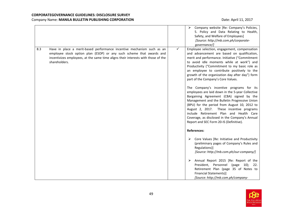|     |                                                                                                                                                                                                                                                      |              | ➤<br>Company website [Re: Company's Policies,<br>5. Policy and Data Relating to Health,<br>Safety, and Welfare of Employees]<br>[Source: http://mb.com.ph/corporate-<br>governance/]                                                                                                                                                                                                                                                                                                                                                                                                                                                                                                                                                                                                                                 |
|-----|------------------------------------------------------------------------------------------------------------------------------------------------------------------------------------------------------------------------------------------------------|--------------|----------------------------------------------------------------------------------------------------------------------------------------------------------------------------------------------------------------------------------------------------------------------------------------------------------------------------------------------------------------------------------------------------------------------------------------------------------------------------------------------------------------------------------------------------------------------------------------------------------------------------------------------------------------------------------------------------------------------------------------------------------------------------------------------------------------------|
| 8.3 | Have in place a merit-based performance incentive mechanism such as an<br>employee stock option plan (ESOP) or any such scheme that awards and<br>incentivizes employees, at the same time aligns their interests with those of the<br>shareholders. | $\checkmark$ | Employee selection, engagement, compensation<br>and advancement are based on qualification,<br>merit and performance. Initiative ("Commitment<br>to avoid idle moments while at work") and<br>Productivity ("Commitment to my basic role as<br>an employee to contribute positively to the<br>growth of the organization day after day") form<br>part of the Company's Core Values.<br>The Company's incentive programs for its<br>employees are laid down in the 5-year Collective<br>Bargaining Agreement (CBA) signed by the<br>Management and the Bulletin Progressive Union<br>(BPU) for the period from August 10, 2012 to<br>August 2, 2017. These incentive programs<br>include Retirement Plan and Health Care<br>Coverage, as disclosed in the Company's Annual<br>Report and SEC Form 20-IS (Definitive). |
|     |                                                                                                                                                                                                                                                      |              | <b>References:</b><br>Core Values [Re: Initiative and Productivity<br>➤<br>(preliminary pages of Company's Rules and<br>Regulations)]<br>[Source: http://mb.com.ph/our-company/]<br>Annual Report 2015 [Re: Report of the<br>➤<br>President, Personnel (page 10);<br>22.<br>Retirement Plan (page 35 of Notes to<br><b>Financial Statements)]</b><br>[Source: http://mb.com.ph/company-                                                                                                                                                                                                                                                                                                                                                                                                                              |

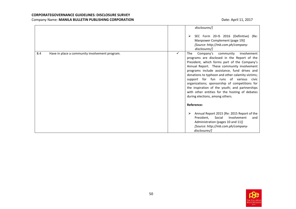|                                                       | disclosures/]<br>SEC Form 20-IS 2016 (Definitive) (Re:<br>➤<br>Manpower Complement (page 19)]<br>[Source: http://mb.com.ph/company-<br>disclosures/]                                                                                                                                                                                                                                                                                                                                                                                                                                                                                                                                                                                                              |
|-------------------------------------------------------|-------------------------------------------------------------------------------------------------------------------------------------------------------------------------------------------------------------------------------------------------------------------------------------------------------------------------------------------------------------------------------------------------------------------------------------------------------------------------------------------------------------------------------------------------------------------------------------------------------------------------------------------------------------------------------------------------------------------------------------------------------------------|
| 8.4<br>Have in place a community involvement program. | $\checkmark$<br><b>The</b><br>Company's<br>involvement<br>community<br>programs are disclosed in the Report of the<br>President, which forms part of the Company's<br>Annual Report. These community involvement<br>programs include assistance, fund drives and<br>donations to typhoon and other calamity victims;<br>support for fun runs of various civic<br>organizations; sponsorship of competitions for<br>the inspiration of the youth; and partnerships<br>with other entities for the hosting of debates<br>during elections, among others.<br>Reference:<br>Annual Report 2015 [Re: 2015 Report of the<br>⋗<br>President,<br>Involvement<br>Social<br>and<br>Administration (pages 10 and 11)]<br>[Source: http://mb.com.ph/company-<br>disclosures/] |

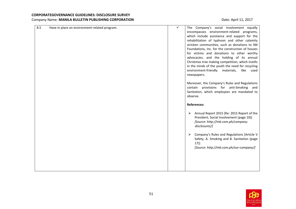| 8.5<br>Have in place an environment-related program. | $\checkmark$<br>The Company's social involvement equally<br>encompasses environment-related programs,<br>which include assistance and support for the<br>rehabilitation of typhoon and other calamity<br>stricken communities, such as donations to SM<br>Foundations, Inc. for the construction of houses<br>for victims and donations to other worthy<br>advocacies; and the holding of its annual<br>Christmas tree making competition, which instills<br>in the minds of the youth the need for recycling<br>environment-friendly materials,<br>like<br>used<br>newspapers.<br>Moreover, the Company's Rules and Regulations<br>contain provisions for anti-Smoking and<br>Sanitation, which employees are mandated to<br>observe. |
|------------------------------------------------------|----------------------------------------------------------------------------------------------------------------------------------------------------------------------------------------------------------------------------------------------------------------------------------------------------------------------------------------------------------------------------------------------------------------------------------------------------------------------------------------------------------------------------------------------------------------------------------------------------------------------------------------------------------------------------------------------------------------------------------------|
|                                                      | <b>References:</b><br>Annual Report 2015 [Re: 2015 Report of the<br>➤<br>President, Social Involvement (page 10)]<br>[Source: http://mb.com.ph/company-<br>disclosures/]<br>Company's Rules and Regulations [Article V<br>➤<br>Safety, A. Smoking and B. Sanitation (page<br>$17$ ]<br>[Source: http://mb.com.ph/our-company/]                                                                                                                                                                                                                                                                                                                                                                                                         |

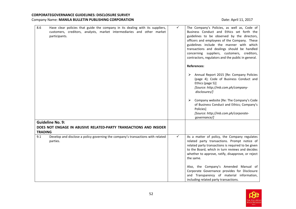| 8.6<br>Have clear policies that guide the company in its dealing with its suppliers,<br>customers, creditors, analysts, market intermediaries and other market<br>participants. | $\checkmark$<br>The Company's Policies, as well as, Code of<br>Business Conduct and Ethics set forth the<br>guidelines to be observed by the directors,<br>officers and employees of the Company. These<br>guidelines include the manner with which<br>transactions and dealings should be handled<br>concerning suppliers, customers, creditors,<br>contractors, regulators and the public in general.<br><b>References:</b><br>Annual Report 2015 [Re: Company Policies<br>➤<br>(page 4); Code of Business Conduct and<br>Ethics (page 5)]<br>[Source: http://mb.com.ph/company-<br>disclosures/]<br>Company website [Re: The Company's Code<br>➤<br>of Business Conduct and Ethics; Company's<br>Policies]<br>[Source: http://mb.com.ph/corporate-<br>governance/] |
|---------------------------------------------------------------------------------------------------------------------------------------------------------------------------------|-----------------------------------------------------------------------------------------------------------------------------------------------------------------------------------------------------------------------------------------------------------------------------------------------------------------------------------------------------------------------------------------------------------------------------------------------------------------------------------------------------------------------------------------------------------------------------------------------------------------------------------------------------------------------------------------------------------------------------------------------------------------------|
| <b>Guideline No. 9:</b><br>DOES NOT ENGAGE IN ABUSIVE RELATED-PARTY TRANSACTIONS AND INSIDER<br><b>TRADING</b>                                                                  |                                                                                                                                                                                                                                                                                                                                                                                                                                                                                                                                                                                                                                                                                                                                                                       |
| 9.1<br>Develop and disclose a policy governing the company's transactions with related<br>parties.                                                                              | ✓<br>As a matter of policy, the Company regulates<br>related party transactions. Prompt notice of<br>related party transactions is required to be given<br>to the Board, which in turn reviews and decides<br>whether to approve, ratify, disapprove, or reject<br>the same.<br>Also, the Company's Amended Manual of<br>Corporate Governance provides for Disclosure<br>and Transparency of material information,<br>including related party transactions.                                                                                                                                                                                                                                                                                                           |

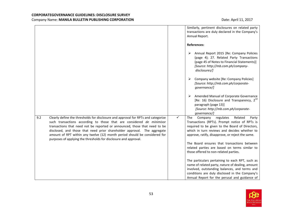|     |                                                                                                                                                                                                                                                                                                                                                                                                                                                                        |              | Similarly, pertinent disclosures on related party<br>transactions are duly declared in the Company's<br>Annual Report.                                                                                                                                  |
|-----|------------------------------------------------------------------------------------------------------------------------------------------------------------------------------------------------------------------------------------------------------------------------------------------------------------------------------------------------------------------------------------------------------------------------------------------------------------------------|--------------|---------------------------------------------------------------------------------------------------------------------------------------------------------------------------------------------------------------------------------------------------------|
|     |                                                                                                                                                                                                                                                                                                                                                                                                                                                                        |              | <b>References:</b>                                                                                                                                                                                                                                      |
|     |                                                                                                                                                                                                                                                                                                                                                                                                                                                                        |              | Annual Report 2015 [Re: Company Policies<br>➤<br>(page 4); 27. Related Party Transactions<br>(page 45 of Notes to Financial Statements)]<br>[Source: http://mb.com.ph/company-<br>disclosures/]                                                         |
|     |                                                                                                                                                                                                                                                                                                                                                                                                                                                                        |              | Company website [Re: Company Policies]<br>➤<br>[Source: http://mb.com.ph/corporate-<br>governance/]                                                                                                                                                     |
|     |                                                                                                                                                                                                                                                                                                                                                                                                                                                                        |              | Amended Manual of Corporate Governance<br>➤<br>[Re: 16) Disclosure and Transparency, 2 <sup>nd</sup><br>paragraph (page 13)]<br>[Source: http://mb.com.ph/corporate-<br>governance/]                                                                    |
| 9.2 | Clearly define the thresholds for disclosure and approval for RPTs and categorize<br>such transactions according to those that are considered de minimisor<br>transactions that need not be reported or announced, those that need to be<br>disclosed, and those that need prior shareholder approval. The aggregate<br>amount of RPT within any twelve (12) month period should be considered for<br>purposes of applying the thresholds for disclosure and approval. | $\checkmark$ | Related<br>The<br>Company<br>regulates<br>Party<br>Transactions (RPTs). Prompt notice of RPTs is<br>required to be given to the Board of Directors,<br>which in turn reviews and decides whether to<br>approve, ratify, disapprove, or reject the same. |
|     |                                                                                                                                                                                                                                                                                                                                                                                                                                                                        |              | The Board ensures that transactions between<br>related parties are based on terms similar to<br>those offered to non-related parties.                                                                                                                   |
|     |                                                                                                                                                                                                                                                                                                                                                                                                                                                                        |              | The particulars pertaining to each RPT, such as<br>name of related party, nature of dealing, amount<br>involved, outstanding balances, and terms and<br>conditions are duly disclosed in the Company's<br>Annual Report for the perusal and guidance of |

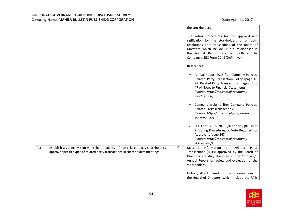|     |                                                                                                                                                                  |              | the stockholders.                                                                                                                                                                                                                                                                   |
|-----|------------------------------------------------------------------------------------------------------------------------------------------------------------------|--------------|-------------------------------------------------------------------------------------------------------------------------------------------------------------------------------------------------------------------------------------------------------------------------------------|
|     |                                                                                                                                                                  |              | The voting procedures for the approval and<br>ratification by the stockholders of all acts,<br>resolutions and transactions of the Board of<br>Directors, which include RPTs duly disclosed in<br>the Annual Report, are set forth in the<br>Company's SEC Form 20-IS (Definitive). |
|     |                                                                                                                                                                  |              | <b>References:</b>                                                                                                                                                                                                                                                                  |
|     |                                                                                                                                                                  |              | > Annual Report 2015 [Re: Company Policies,<br>Related Party Transaction Policy (page 4);<br>27. Related Party Transactions (pages 45 to<br>47 of Notes to Financial Statements)]<br>[Source: http://mb.com.ph/company-<br>disclosures/]                                            |
|     |                                                                                                                                                                  |              | Company website [Re: Company Policies,<br>➤<br><b>Related Party Transactions]</b><br>[Source: http://mb.com.ph/corporate-<br>governance/]                                                                                                                                           |
|     |                                                                                                                                                                  |              | SEC Form 20-IS 2016 (Definitive) (Re: Item<br>9. Voting Procedures, a. Vote Required for<br>Approval (page 16)]<br>[Source: http://mb.com.ph/company-<br>disclosures/]                                                                                                              |
| 9.3 | Establish a voting system whereby a majority of non-related party shareholders<br>approve specific types of related party transactions in shareholders meetings. | $\checkmark$ | information<br>Material<br>Related<br>Party<br>on<br>Transactions (RPTs) approved by the Board of<br>Directors are duly disclosed in the Company's<br>Annual Report for review and evaluation of the<br>stockholders.                                                               |
|     |                                                                                                                                                                  |              | In turn, all acts, resolutions and transactions of<br>the Board of Directors, which include the RPTs                                                                                                                                                                                |

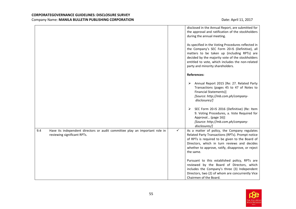|                                                                                                                   |   | disclosed in the Annual Report, are submitted for<br>the approval and ratification of the stockholders<br>during the annual meeting.<br>As specified in the Voting Procedures reflected in<br>the Company's SEC Form 20-IS (Definitive), all<br>matters to be taken up (including RPTs) are<br>decided by the majority vote of the stockholders<br>entitled to vote, which includes the non-related<br>party and minority shareholders. |
|-------------------------------------------------------------------------------------------------------------------|---|-----------------------------------------------------------------------------------------------------------------------------------------------------------------------------------------------------------------------------------------------------------------------------------------------------------------------------------------------------------------------------------------------------------------------------------------|
|                                                                                                                   |   | <b>References:</b>                                                                                                                                                                                                                                                                                                                                                                                                                      |
|                                                                                                                   |   | Annual Report 2015 [Re: 27. Related Party<br>➤<br>Transactions (pages 45 to 47 of Notes to<br><b>Financial Statements)]</b><br>[Source: http://mb.com.ph/company-<br>disclosures/]                                                                                                                                                                                                                                                      |
|                                                                                                                   |   | SEC Form 20-IS 2016 (Definitive) (Re: Item<br>➤<br>9. Voting Procedures, a. Vote Required for<br>Approval (page 16)]<br>[Source: http://mb.com.ph/company-<br>disclosures/]                                                                                                                                                                                                                                                             |
| 9.4<br>Have its independent directors or audit committee play an important role in<br>reviewing significant RPTs. | ✓ | As a matter of policy, the Company regulates<br>Related Party Transactions (RPTs). Prompt notice<br>of RPTs is required to be given to the Board of<br>Directors, which in turn reviews and decides<br>whether to approve, ratify, disapprove, or reject<br>the same.                                                                                                                                                                   |
|                                                                                                                   |   | Pursuant to this established policy, RPTs are<br>reviewed by the Board of Directors, which<br>includes the Company's three (3) Independent<br>Directors, two (2) of whom are concurrently Vice<br>Chairmen of the Board.                                                                                                                                                                                                                |

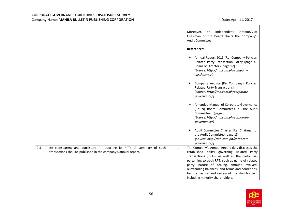|                                                                                                                                                  | Independent<br>Director/Vice<br>Moreover,<br>an<br>Chairman of the Board chairs the Company's<br>Audit Committee.<br><b>References:</b>                                                                                                                                                                                                                                                                     |
|--------------------------------------------------------------------------------------------------------------------------------------------------|-------------------------------------------------------------------------------------------------------------------------------------------------------------------------------------------------------------------------------------------------------------------------------------------------------------------------------------------------------------------------------------------------------------|
|                                                                                                                                                  | Annual Report 2015 [Re: Company Policies,<br>➤<br>Related Party Transaction Policy (page 4);<br>Board of Directors (page 12]<br>[Source: http://mb.com.ph/company-<br>disclosures/]                                                                                                                                                                                                                         |
|                                                                                                                                                  | $\triangleright$ Company website [Re: Company's Policies,<br><b>Related Party Transactions]</b><br>[Source: http://mb.com.ph/corporate-<br>governance/]                                                                                                                                                                                                                                                     |
|                                                                                                                                                  | Amended Manual of Corporate Governance<br>➤<br>[Re: 9) Board Committees, a) The Audit<br>Committee (page 8)]<br>[Source: http://mb.com.ph/corporate-<br>governance/]                                                                                                                                                                                                                                        |
|                                                                                                                                                  | Audit Committee Charter [Re: Chairman of<br>➤<br>the Audit Committee (page 1)]<br>[Source: http://mb.com.ph/corporate-<br>governance/]                                                                                                                                                                                                                                                                      |
| 9.5<br>Be transparent and consistent in reporting its RPTs. A summary of such<br>transactions shall be published in the company's annual report. | The Company's Annual Report duly discloses the<br>$\checkmark$<br>established policy governing Related Party<br>Transactions (RPTs), as well as, the particulars<br>pertaining to each RPT, such as name of related<br>party, nature of dealing, amount involved,<br>outstanding balances, and terms and conditions,<br>for the perusal and review of the stockholders,<br>including minority shareholders. |

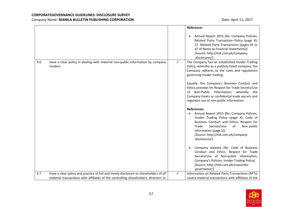|     |                                                                                             |              | Reference:                                                                                                                                                                                                                                                                                                                                                                                                                      |
|-----|---------------------------------------------------------------------------------------------|--------------|---------------------------------------------------------------------------------------------------------------------------------------------------------------------------------------------------------------------------------------------------------------------------------------------------------------------------------------------------------------------------------------------------------------------------------|
|     |                                                                                             |              | Annual Report 2015 [Re: Company Policies,<br>➤<br>Related Party Transaction Policy (page 4);<br>27. Related Party Transactions (pages 45 to<br>47 of Notes to Financial Statements)]<br>[Source: http://mb.com.ph/company-<br>disclosures/]                                                                                                                                                                                     |
| 9.6 | Have a clear policy in dealing with material non-public information by company<br>insiders. | ✓            | The Company has an established Insider Trading<br>Policy, whereby as a publicly-listed company, the<br>Company adheres to the rules and regulations<br>governing insider trading.<br>Equally, the Company's Business Conduct and<br>Ethics provides for Respect for Trade Secrets/Use<br>of Non-Public Information, whereby the<br>Company treats as confidential trade secrets and<br>regulates use of non-public information. |
|     |                                                                                             |              | <b>References:</b><br>Annual Report 2015 [Re: Company Policies,<br>➤<br>Insider Trading Policy (page 4); Code of<br>Business Conduct and Ethics, Respect for<br>Secrets/Use<br>Non-public<br>Trade<br>of<br>Information (page 5)]<br>[Source: http://mb.com.ph/company-<br>disclosures/]                                                                                                                                        |
|     |                                                                                             |              | Company website (Re: Code of Business<br>➤<br>Conduct and Ethics, Respect for Trade<br>Secrets/Use of Non-public Information;<br>Company's Policies, Insider Trading Policy]<br>[Source: http://mb.com.ph/corporate-<br>governance/]                                                                                                                                                                                            |
| 9.7 | Have a clear policy and practice of full and timely disclosure to shareholders of all       | $\checkmark$ | Information on Related Party Transactions (RPTs)                                                                                                                                                                                                                                                                                                                                                                                |
|     | material transactions with affiliates of the controlling shareholders, directors or         |              | covers material transactions with affiliates of the                                                                                                                                                                                                                                                                                                                                                                             |

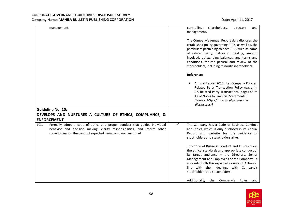| management.                                                                                                                                                                                                                   | controlling<br>shareholders,<br>directors<br>and<br>management.                                                                                                                                                                                                                                                                                                                                                                                                                                                                                                                          |
|-------------------------------------------------------------------------------------------------------------------------------------------------------------------------------------------------------------------------------|------------------------------------------------------------------------------------------------------------------------------------------------------------------------------------------------------------------------------------------------------------------------------------------------------------------------------------------------------------------------------------------------------------------------------------------------------------------------------------------------------------------------------------------------------------------------------------------|
|                                                                                                                                                                                                                               | The Company's Annual Report duly discloses the<br>established policy governing RPTs, as well as, the<br>particulars pertaining to each RPT, such as name<br>of related party, nature of dealing, amount<br>involved, outstanding balances, and terms and<br>conditions, for the perusal and review of the<br>stockholders, including minority shareholders.<br>Reference:<br>Annual Report 2015 [Re: Company Policies,<br>➤                                                                                                                                                              |
|                                                                                                                                                                                                                               | Related Party Transaction Policy (page 4);<br>27. Related Party Transactions (pages 45 to<br>47 of Notes to Financial Statements)]<br>[Source: http://mb.com.ph/company-<br>disclosures/]                                                                                                                                                                                                                                                                                                                                                                                                |
| <b>Guideline No. 10:</b>                                                                                                                                                                                                      |                                                                                                                                                                                                                                                                                                                                                                                                                                                                                                                                                                                          |
| DEVELOPS AND NURTURES A CULTURE OF ETHICS, COMPLIANCE, &                                                                                                                                                                      |                                                                                                                                                                                                                                                                                                                                                                                                                                                                                                                                                                                          |
| <b>ENFORCEMENT</b>                                                                                                                                                                                                            |                                                                                                                                                                                                                                                                                                                                                                                                                                                                                                                                                                                          |
| Formally adopt a code of ethics and proper conduct that guides individual<br>10.1<br>behavior and decision making, clarify responsibilities, and inform other<br>stakeholders on the conduct expected from company personnel. | ✓<br>The Company has a Code of Business Conduct<br>and Ethics, which is duly disclosed in its Annual<br>Report and website for the guidance of<br>stockholders and stakeholders alike.<br>This Code of Business Conduct and Ethics covers<br>the ethical standards and appropriate conduct of<br>its target audience - the Directors, Senior<br>Management and Employees of the Company. It<br>also sets forth the expected Course of Action in<br>line with their dealings with Company's<br>stockholders and stakeholders.<br>Additionally,<br>Company's<br>the<br><b>Rules</b><br>and |

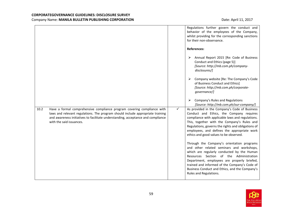|      |                                                                                                                                                                                                                                                                           |              | Regulations further govern the conduct and<br>behavior of the employees of the Company,<br>whilst providing for the corresponding sanctions<br>for their non-observance.                                                                                                                                                                                     |
|------|---------------------------------------------------------------------------------------------------------------------------------------------------------------------------------------------------------------------------------------------------------------------------|--------------|--------------------------------------------------------------------------------------------------------------------------------------------------------------------------------------------------------------------------------------------------------------------------------------------------------------------------------------------------------------|
|      |                                                                                                                                                                                                                                                                           |              | <b>References:</b><br>Annual Report 2015 [Re: Code of Business<br>➤<br>Conduct and Ethics (page 5)]<br>[Source: http://mb.com.ph/company-<br>disclosures/]                                                                                                                                                                                                   |
|      |                                                                                                                                                                                                                                                                           |              | Company website [Re: The Company's Code<br>➤<br>of Business Conduct and Ethics]<br>[Source: http://mb.com.ph/corporate-<br>governance/]                                                                                                                                                                                                                      |
|      |                                                                                                                                                                                                                                                                           |              | Company's Rules and Regulations<br>[Source: http://mb.com.ph/our-company/]                                                                                                                                                                                                                                                                                   |
| 10.2 | Have a formal comprehensive compliance program covering compliance with<br>laws and relevant regulations. The program should include appropriate training<br>and awareness initiatives to facilitate understanding, acceptance and compliance<br>with the said issuances. | $\checkmark$ | As provided in the Company's Code of Business<br>Conduct and Ethics, the Company requires<br>compliance with applicable laws and regulations.<br>This, together with the Company's Rules and<br>Regulations, governs the rights and obligations of<br>employees, and defines the appropriate work<br>ethics and good values to be observed.                  |
|      |                                                                                                                                                                                                                                                                           |              | Through the Company's orientation programs<br>and other related seminars and workshops,<br>which are regularly conducted by the Human<br>Resources Section of the Administration<br>Department, employees are properly briefed,<br>trained and informed of the Company's Code of<br>Business Conduct and Ethics, and the Company's<br>Rules and Regulations. |

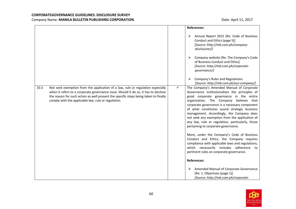|      |                                                                                                                                                                                                                                                                                                                       |   | <b>References:</b>                                                                                                                                                                                                                                                                                                                                                                                                                                                                                                                                                                                                                                                                                                |
|------|-----------------------------------------------------------------------------------------------------------------------------------------------------------------------------------------------------------------------------------------------------------------------------------------------------------------------|---|-------------------------------------------------------------------------------------------------------------------------------------------------------------------------------------------------------------------------------------------------------------------------------------------------------------------------------------------------------------------------------------------------------------------------------------------------------------------------------------------------------------------------------------------------------------------------------------------------------------------------------------------------------------------------------------------------------------------|
|      |                                                                                                                                                                                                                                                                                                                       |   | Annual Report 2015 [Re: Code of Business<br>➤<br>Conduct and Ethics (page 5)]<br>[Source: http://mb.com.ph/company-<br>disclosures/]                                                                                                                                                                                                                                                                                                                                                                                                                                                                                                                                                                              |
|      |                                                                                                                                                                                                                                                                                                                       |   | Company website [Re: The Company's Code<br>of Business Conduct and Ethics]<br>[Source: http://mb.com.ph/corporate-<br>governance/]                                                                                                                                                                                                                                                                                                                                                                                                                                                                                                                                                                                |
|      |                                                                                                                                                                                                                                                                                                                       |   | Company's Rules and Regulations<br>➤<br>[Source: http://mb.com.ph/our-company/]                                                                                                                                                                                                                                                                                                                                                                                                                                                                                                                                                                                                                                   |
| 10.3 | Not seek exemption from the application of a law, rule or regulation especially<br>when it refers to a corporate governance issue. Should it do so, it has to disclose<br>the reason for such action as well present the specific steps being taken to finally<br>comply with the applicable law, rule or regulation. | ✓ | The Company's Amended Manual of Corporate<br>Governance institutionalizes the principles of<br>good corporate governance in the entire<br>organization. The Company believes that<br>corporate governance is a necessary component<br>of what constitutes sound strategic business<br>management. Accordingly, the Company does<br>not seek any exemption from the application of<br>any law, rule or regulation, particularly, those<br>pertaining to corporate governance.<br>More, under the Company's Code of Business<br>Conduct and Ethics, the Company requires<br>compliance with applicable laws and regulations,<br>which necessarily includes adherence to<br>pertinent rules on corporate governance. |
|      |                                                                                                                                                                                                                                                                                                                       |   | <b>References:</b>                                                                                                                                                                                                                                                                                                                                                                                                                                                                                                                                                                                                                                                                                                |
|      |                                                                                                                                                                                                                                                                                                                       |   | Amended Manual of Corporate Governance<br>➤<br>[Re: 1. Objectives (page 1)]<br>[Source: http://mb.com.ph/corporate-                                                                                                                                                                                                                                                                                                                                                                                                                                                                                                                                                                                               |

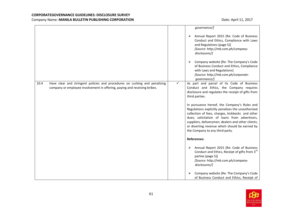|      |                                                                                                                                                         |        | governance/]                                                                                                                                                                                                                                                                                                                                                                                                                                                                                                                              |
|------|---------------------------------------------------------------------------------------------------------------------------------------------------------|--------|-------------------------------------------------------------------------------------------------------------------------------------------------------------------------------------------------------------------------------------------------------------------------------------------------------------------------------------------------------------------------------------------------------------------------------------------------------------------------------------------------------------------------------------------|
|      |                                                                                                                                                         | ➤<br>➤ | Annual Report 2015 [Re: Code of Business<br>Conduct and Ethics, Compliance with Laws<br>and Regulations (page 5)]<br>[Source: http://mb.com.ph/company-<br>disclosures/]<br>Company website [Re: The Company's Code<br>of Business Conduct and Ethics, Compliance<br>with Laws and Regulations]<br>[Source: http://mb.com.ph/corporate-<br>governance/]                                                                                                                                                                                   |
| 10.4 | Have clear and stringent policies and procedures on curbing and penalizing<br>company or employee involvement in offering, paying and receiving bribes. | ✓      | As part and parcel of its Code of Business<br>Conduct and Ethics, the Company requires<br>disclosure and regulates the receipt of gifts from<br>third parties.<br>In pursuance hereof, the Company's Rules and<br>Regulations explicitly penalizes the unauthorized<br>collection of fees, charges, kickbacks and other<br>dues; solicitation of loans from advertisers,<br>suppliers, deliverymen, dealers and other clients;<br>or diverting revenue which should be earned by<br>the Company to any third party.<br><b>References:</b> |
|      |                                                                                                                                                         | ➤<br>⋗ | Annual Report 2015 [Re: Code of Business<br>Conduct and Ethics, Receipt of gifts from 3 <sup>rd</sup><br>parties (page 5)]<br>[Source: http://mb.com.ph/company-<br>disclosures/]<br>Company website [Re: The Company's Code<br>of Business Conduct and Ethics, Receipt of                                                                                                                                                                                                                                                                |

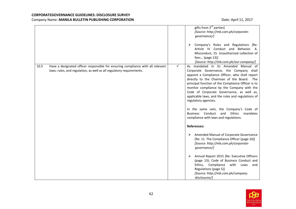|      |                                                                                                                                                         |              | gifts from 3 <sup>rd</sup> parties]<br>[Source: http://mb.com.ph/corporate-<br>governance/]<br>Company's Rules and Regulations [Re:<br>➤<br>Article IV Conduct and Behavior. A.<br>Misconduct, 15. Unauthorized collection of<br>fees (page 13)]<br>[Source: http://mb.com.ph/our-company/]                                                                                                                                                              |
|------|---------------------------------------------------------------------------------------------------------------------------------------------------------|--------------|----------------------------------------------------------------------------------------------------------------------------------------------------------------------------------------------------------------------------------------------------------------------------------------------------------------------------------------------------------------------------------------------------------------------------------------------------------|
| 10.5 | Have a designated officer responsible for ensuring compliance with all relevant<br>laws, rules, and regulation, as well as all regulatory requirements. | $\checkmark$ | As mandated in its Amended Manual of<br>Corporate Governance, the Company shall<br>appoint a Compliance Officer, who shall report<br>directly to the Chairman of the Board. The<br>principal function of the Compliance Officer is to<br>monitor compliance by the Company with the<br>Code of Corporate Governance, as well as,<br>applicable laws, and the rules and regulations of<br>regulatory agencies.<br>In the same vein, the Company's Code of |
|      |                                                                                                                                                         |              | Conduct<br>Ethics<br><b>Business</b><br>and<br>mandates<br>compliance with laws and regulations.<br><b>References:</b><br>Amended Manual of Corporate Governance<br>➤                                                                                                                                                                                                                                                                                    |
|      |                                                                                                                                                         |              | [Re: 11. The Compliance Officer (page 10)]<br>[Source: http://mb.com.ph/corporate-<br>governance/]<br>➤<br>Annual Report 2015 [Re: Executive Officers                                                                                                                                                                                                                                                                                                    |
|      |                                                                                                                                                         |              | (page 13); Code of Business Conduct and<br>Ethics, Compliance<br>with<br>Laws<br>and<br>Regulations (page 5)]<br>[Source: http://mb.com.ph/company-<br>disclosures/]                                                                                                                                                                                                                                                                                     |

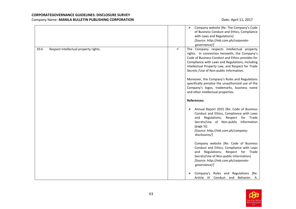|                                               | Company website [Re: The Company's Code<br>➤<br>of Business Conduct and Ethics, Compliance<br>with Laws and Regulations]<br>[Source: http://mb.com.ph/corporate-<br>governance/]                                                                                                                                                                                                                                                                                                                  |
|-----------------------------------------------|---------------------------------------------------------------------------------------------------------------------------------------------------------------------------------------------------------------------------------------------------------------------------------------------------------------------------------------------------------------------------------------------------------------------------------------------------------------------------------------------------|
| 10.6<br>Respect intellectual property rights. | ✓<br>The Company respects intellectual property<br>rights. In connection herewith, the Company's<br>Code of Business Conduct and Ethics provides for<br>Compliance with Laws and Regulations, including<br>Intellectual Property Law, and Respect for Trade<br>Secrets / Use of Non-public Information.<br>Moreover, the Company's Rules and Regulations<br>specifically penalize the unauthorized use of the<br>Company's logos, trademarks, business name<br>and other intellectual properties. |
|                                               | <b>References:</b>                                                                                                                                                                                                                                                                                                                                                                                                                                                                                |
|                                               | Annual Report 2015 [Re: Code of Business<br>➤<br>Conduct and Ethics, Compliance with Laws<br>and Regulations; Respect for Trade<br>Secrets/Use of Non-public Information<br>(page 5)]<br>[Source: http://mb.com.ph/company-<br>disclosures/]                                                                                                                                                                                                                                                      |
|                                               | Company website [Re: Code of Business<br>Conduct and Ethics, Compliance with Laws<br>and Regulations; Respect for Trade<br>Secrets/Use of Non-public Information]<br>[Source: http://mb.com.ph/corporate-<br>governance/]                                                                                                                                                                                                                                                                         |
|                                               | Company's Rules and Regulations [Re:<br>⋗<br>Article IV Conduct and Behavior. A.                                                                                                                                                                                                                                                                                                                                                                                                                  |

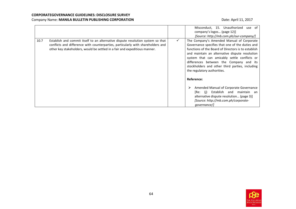|                                                                                                                                                                                                                                                           |              | Misconduct, 15. Unauthorized<br>use of<br>company's logos (page 12)]<br>[Source: http://mb.com.ph/our-company/]                                                                                                                                                                                                                                                                                                                                                                                                                                                                                 |
|-----------------------------------------------------------------------------------------------------------------------------------------------------------------------------------------------------------------------------------------------------------|--------------|-------------------------------------------------------------------------------------------------------------------------------------------------------------------------------------------------------------------------------------------------------------------------------------------------------------------------------------------------------------------------------------------------------------------------------------------------------------------------------------------------------------------------------------------------------------------------------------------------|
| 10.7<br>Establish and commit itself to an alternative dispute resolution system so that<br>conflicts and difference with counterparties, particularly with shareholders and<br>other key stakeholders, would be settled in a fair and expeditious manner. | $\checkmark$ | The Company's Amended Manual of Corporate<br>Governance specifies that one of the duties and<br>functions of the Board of Directors is to establish<br>and maintain an alternative dispute resolution<br>system that can amicably settle conflicts or<br>differences between the Company and its<br>stockholders and other third parties, including<br>the regulatory authorities.<br>Reference:<br>Amended Manual of Corporate Governance<br>⋗<br>Establish and<br>maintain an<br>[Re: (i)<br>alternative dispute resolution (page 3)]<br>[Source: http://mb.com.ph/corporate-<br>governance/l |